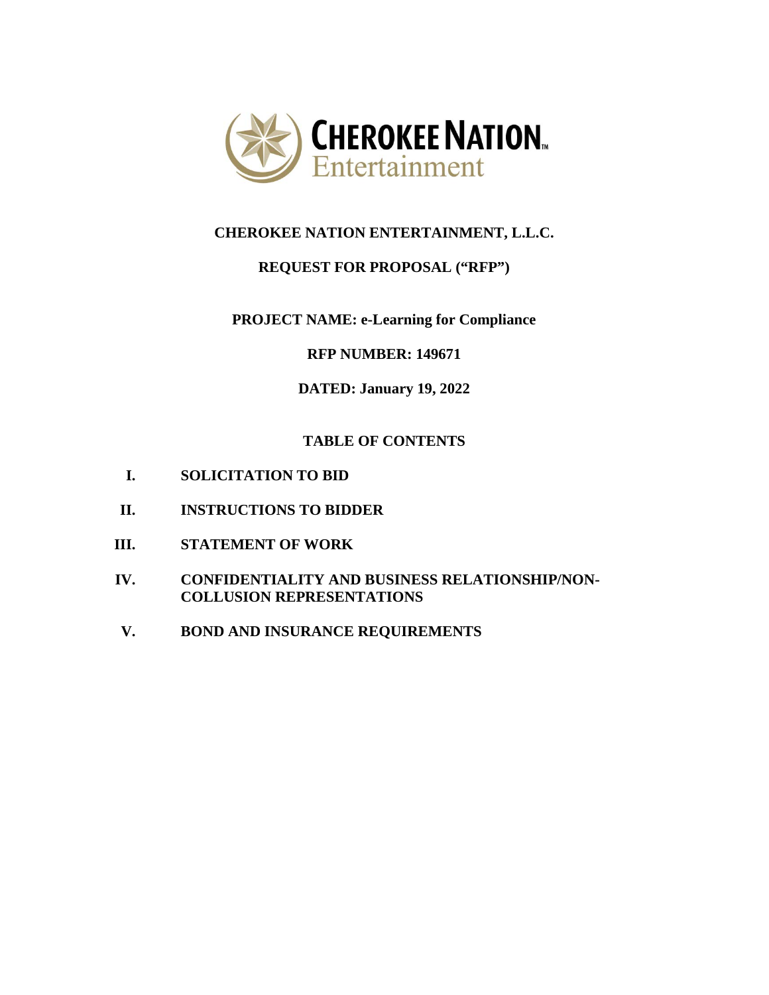

# **CHEROKEE NATION ENTERTAINMENT, L.L.C.**

# **REQUEST FOR PROPOSAL ("RFP")**

# **PROJECT NAME: e-Learning for Compliance**

# **RFP NUMBER: 149671**

# **DATED: January 19, 2022**

# **TABLE OF CONTENTS**

- **I. SOLICITATION TO BID**
- **II. INSTRUCTIONS TO BIDDER**
- **III. STATEMENT OF WORK**
- **IV. CONFIDENTIALITY AND BUSINESS RELATIONSHIP/NON-COLLUSION REPRESENTATIONS**
- **V. BOND AND INSURANCE REQUIREMENTS**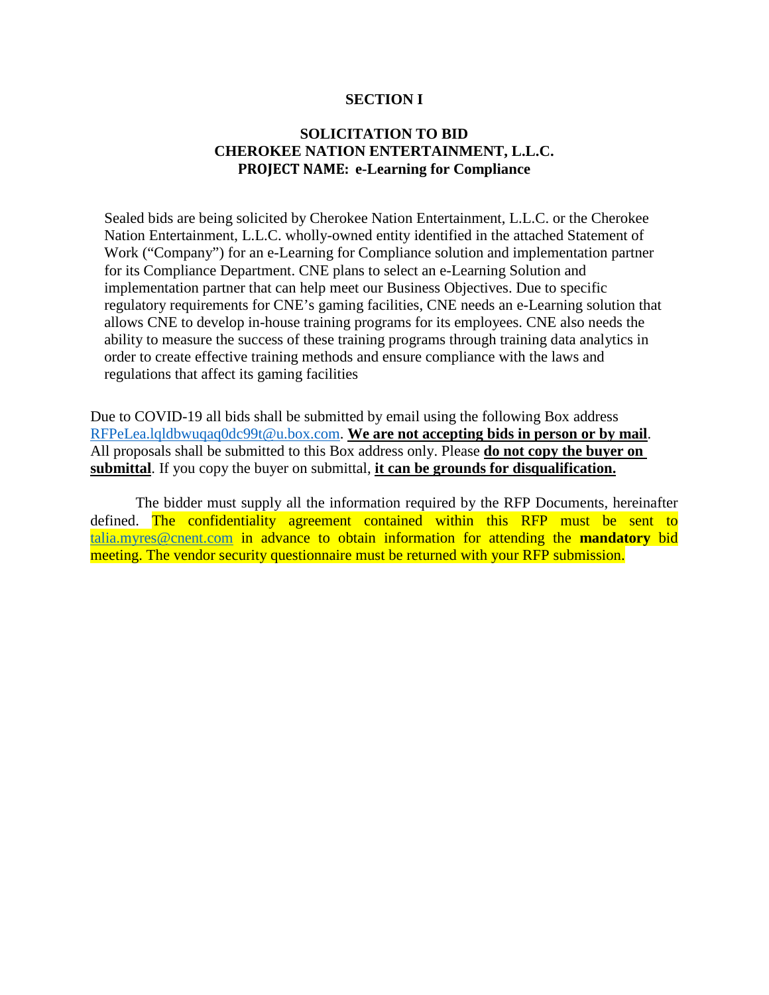#### **SECTION I**

### **SOLICITATION TO BID CHEROKEE NATION ENTERTAINMENT, L.L.C. PROJECT NAME: e-Learning for Compliance**

Sealed bids are being solicited by Cherokee Nation Entertainment, L.L.C. or the Cherokee Nation Entertainment, L.L.C. wholly-owned entity identified in the attached Statement of Work ("Company") for an e-Learning for Compliance solution and implementation partner for its Compliance Department. CNE plans to select an e-Learning Solution and implementation partner that can help meet our Business Objectives. Due to specific regulatory requirements for CNE's gaming facilities, CNE needs an e-Learning solution that allows CNE to develop in-house training programs for its employees. CNE also needs the ability to measure the success of these training programs through training data analytics in order to create effective training methods and ensure compliance with the laws and regulations that affect its gaming facilities

Due to COVID-19 all bids shall be submitted by email using the following Box address [RFPeLea.lqldbwuqaq0dc99t@u.box.com.](mailto:RFPeLea.lqldbwuqaq0dc99t@u.box.com) **We are not accepting bids in person or by mail**. All proposals shall be submitted to this Box address only. Please **do not copy the buyer on submittal**. If you copy the buyer on submittal, **it can be grounds for disqualification.**

The bidder must supply all the information required by the RFP Documents, hereinafter defined. The confidentiality agreement contained within this RFP must be sent to [talia.myres@cnent.com](mailto:talia.myres@cnent.com) in advance to obtain information for attending the **mandatory** bid meeting. The vendor security questionnaire must be returned with your RFP submission.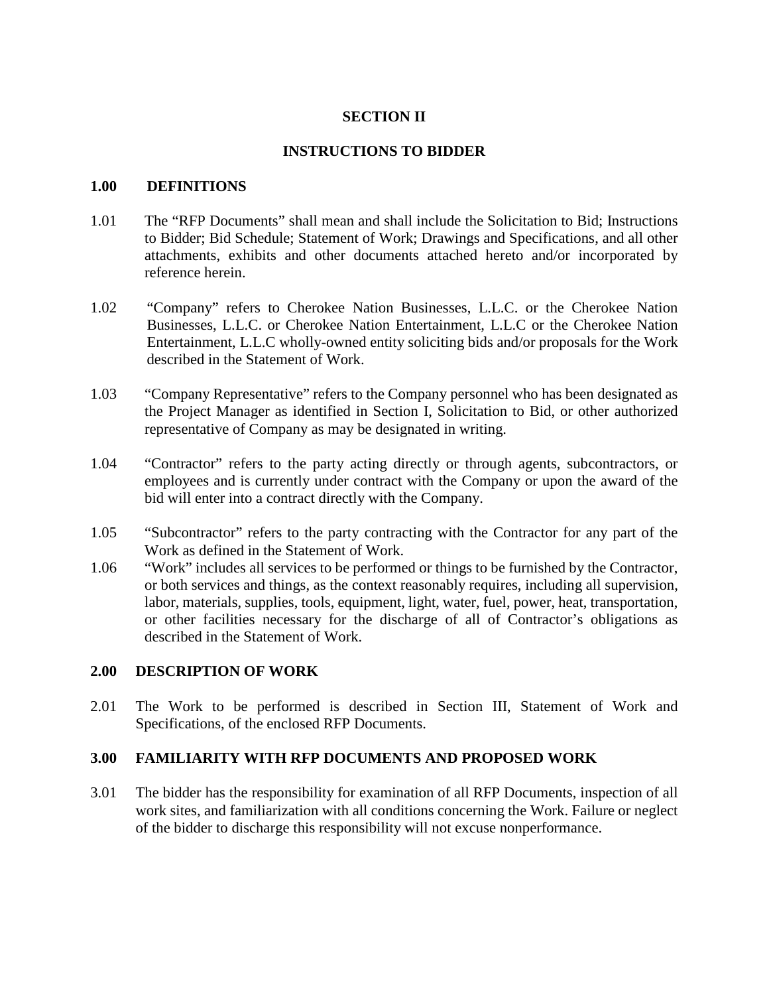# **SECTION II**

### **INSTRUCTIONS TO BIDDER**

#### **1.00 DEFINITIONS**

- 1.01 The "RFP Documents" shall mean and shall include the Solicitation to Bid; Instructions to Bidder; Bid Schedule; Statement of Work; Drawings and Specifications, and all other attachments, exhibits and other documents attached hereto and/or incorporated by reference herein.
- 1.02 "Company" refers to Cherokee Nation Businesses, L.L.C. or the Cherokee Nation Businesses, L.L.C. or Cherokee Nation Entertainment, L.L.C or the Cherokee Nation Entertainment, L.L.C wholly-owned entity soliciting bids and/or proposals for the Work described in the Statement of Work.
- 1.03 "Company Representative" refers to the Company personnel who has been designated as the Project Manager as identified in Section I, Solicitation to Bid, or other authorized representative of Company as may be designated in writing.
- 1.04 "Contractor" refers to the party acting directly or through agents, subcontractors, or employees and is currently under contract with the Company or upon the award of the bid will enter into a contract directly with the Company.
- 1.05 "Subcontractor" refers to the party contracting with the Contractor for any part of the Work as defined in the Statement of Work.
- 1.06 "Work" includes all services to be performed or things to be furnished by the Contractor, or both services and things, as the context reasonably requires, including all supervision, labor, materials, supplies, tools, equipment, light, water, fuel, power, heat, transportation, or other facilities necessary for the discharge of all of Contractor's obligations as described in the Statement of Work.

### **2.00 DESCRIPTION OF WORK**

2.01 The Work to be performed is described in Section III, Statement of Work and Specifications, of the enclosed RFP Documents.

### **3.00 FAMILIARITY WITH RFP DOCUMENTS AND PROPOSED WORK**

3.01 The bidder has the responsibility for examination of all RFP Documents, inspection of all work sites, and familiarization with all conditions concerning the Work. Failure or neglect of the bidder to discharge this responsibility will not excuse nonperformance.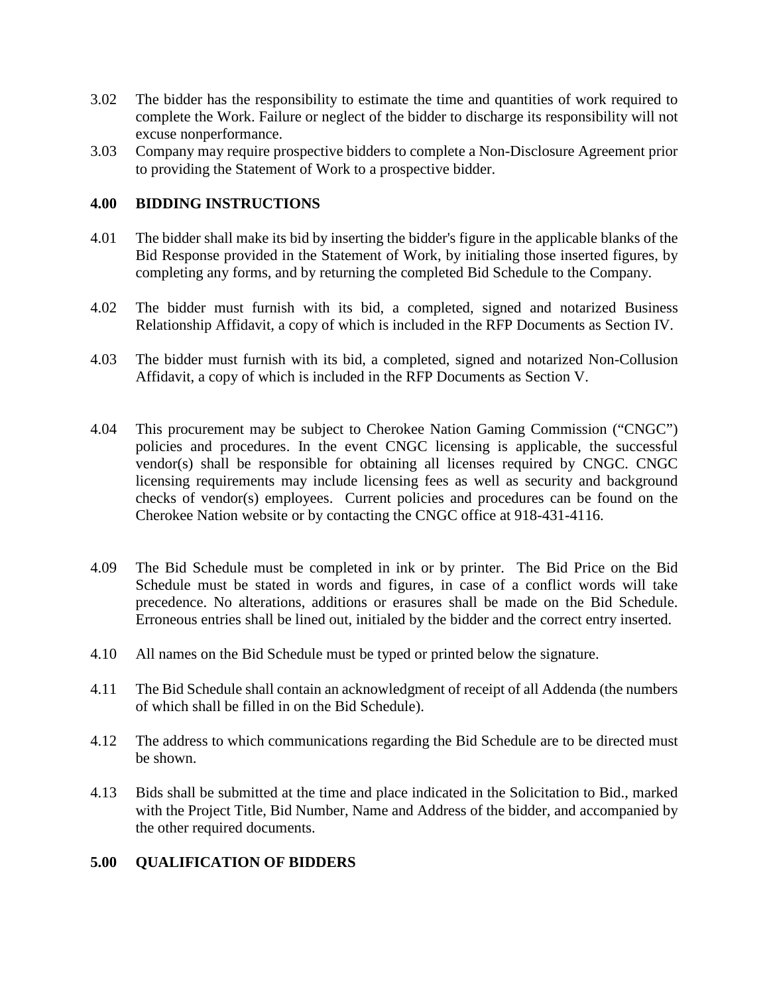- 3.02 The bidder has the responsibility to estimate the time and quantities of work required to complete the Work. Failure or neglect of the bidder to discharge its responsibility will not excuse nonperformance.
- 3.03 Company may require prospective bidders to complete a Non-Disclosure Agreement prior to providing the Statement of Work to a prospective bidder.

### **4.00 BIDDING INSTRUCTIONS**

- 4.01 The bidder shall make its bid by inserting the bidder's figure in the applicable blanks of the Bid Response provided in the Statement of Work, by initialing those inserted figures, by completing any forms, and by returning the completed Bid Schedule to the Company.
- 4.02 The bidder must furnish with its bid, a completed, signed and notarized Business Relationship Affidavit, a copy of which is included in the RFP Documents as Section IV.
- 4.03 The bidder must furnish with its bid, a completed, signed and notarized Non-Collusion Affidavit, a copy of which is included in the RFP Documents as Section V.
- 4.04 This procurement may be subject to Cherokee Nation Gaming Commission ("CNGC") policies and procedures. In the event CNGC licensing is applicable, the successful vendor(s) shall be responsible for obtaining all licenses required by CNGC. CNGC licensing requirements may include licensing fees as well as security and background checks of vendor(s) employees. Current policies and procedures can be found on the Cherokee Nation website or by contacting the CNGC office at 918-431-4116.
- 4.09 The Bid Schedule must be completed in ink or by printer. The Bid Price on the Bid Schedule must be stated in words and figures, in case of a conflict words will take precedence. No alterations, additions or erasures shall be made on the Bid Schedule. Erroneous entries shall be lined out, initialed by the bidder and the correct entry inserted.
- 4.10 All names on the Bid Schedule must be typed or printed below the signature.
- 4.11 The Bid Schedule shall contain an acknowledgment of receipt of all Addenda (the numbers of which shall be filled in on the Bid Schedule).
- 4.12 The address to which communications regarding the Bid Schedule are to be directed must be shown.
- 4.13 Bids shall be submitted at the time and place indicated in the Solicitation to Bid., marked with the Project Title, Bid Number, Name and Address of the bidder, and accompanied by the other required documents.

# **5.00 QUALIFICATION OF BIDDERS**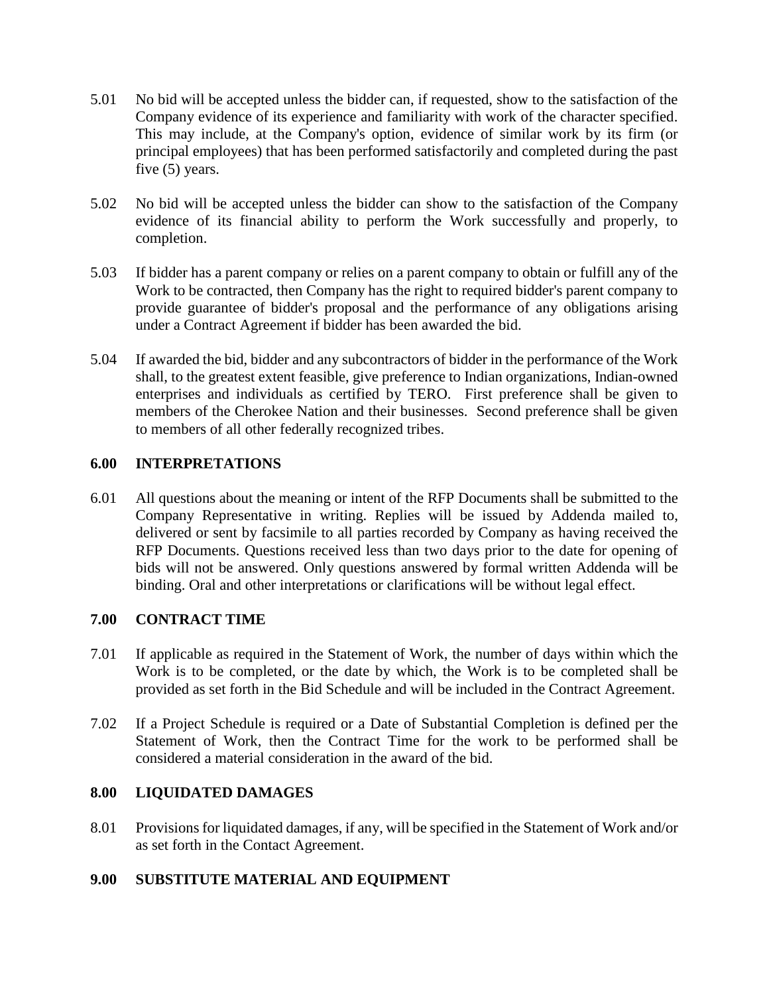- 5.01 No bid will be accepted unless the bidder can, if requested, show to the satisfaction of the Company evidence of its experience and familiarity with work of the character specified. This may include, at the Company's option, evidence of similar work by its firm (or principal employees) that has been performed satisfactorily and completed during the past five (5) years.
- 5.02 No bid will be accepted unless the bidder can show to the satisfaction of the Company evidence of its financial ability to perform the Work successfully and properly, to completion.
- 5.03 If bidder has a parent company or relies on a parent company to obtain or fulfill any of the Work to be contracted, then Company has the right to required bidder's parent company to provide guarantee of bidder's proposal and the performance of any obligations arising under a Contract Agreement if bidder has been awarded the bid.
- 5.04 If awarded the bid, bidder and any subcontractors of bidder in the performance of the Work shall, to the greatest extent feasible, give preference to Indian organizations, Indian-owned enterprises and individuals as certified by TERO. First preference shall be given to members of the Cherokee Nation and their businesses. Second preference shall be given to members of all other federally recognized tribes.

# **6.00 INTERPRETATIONS**

6.01 All questions about the meaning or intent of the RFP Documents shall be submitted to the Company Representative in writing. Replies will be issued by Addenda mailed to, delivered or sent by facsimile to all parties recorded by Company as having received the RFP Documents. Questions received less than two days prior to the date for opening of bids will not be answered. Only questions answered by formal written Addenda will be binding. Oral and other interpretations or clarifications will be without legal effect.

# **7.00 CONTRACT TIME**

- 7.01 If applicable as required in the Statement of Work, the number of days within which the Work is to be completed, or the date by which, the Work is to be completed shall be provided as set forth in the Bid Schedule and will be included in the Contract Agreement.
- 7.02 If a Project Schedule is required or a Date of Substantial Completion is defined per the Statement of Work, then the Contract Time for the work to be performed shall be considered a material consideration in the award of the bid.

### **8.00 LIQUIDATED DAMAGES**

8.01 Provisions for liquidated damages, if any, will be specified in the Statement of Work and/or as set forth in the Contact Agreement.

# **9.00 SUBSTITUTE MATERIAL AND EQUIPMENT**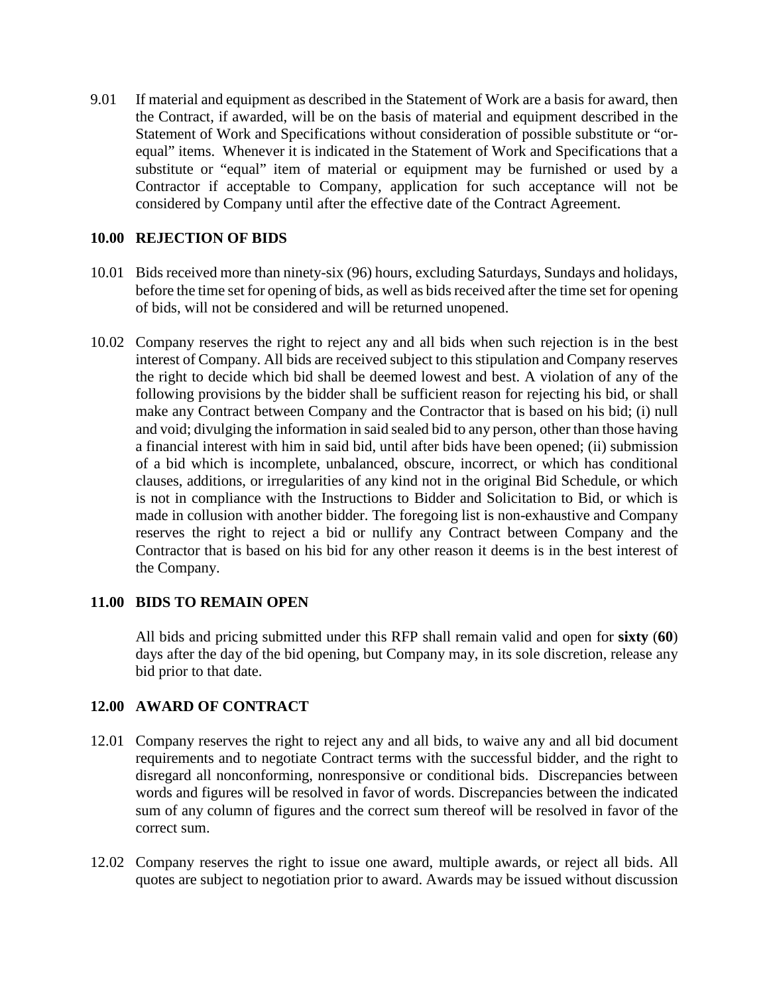9.01 If material and equipment as described in the Statement of Work are a basis for award, then the Contract, if awarded, will be on the basis of material and equipment described in the Statement of Work and Specifications without consideration of possible substitute or "orequal" items. Whenever it is indicated in the Statement of Work and Specifications that a substitute or "equal" item of material or equipment may be furnished or used by a Contractor if acceptable to Company, application for such acceptance will not be considered by Company until after the effective date of the Contract Agreement.

# **10.00 REJECTION OF BIDS**

- 10.01 Bids received more than ninety-six (96) hours, excluding Saturdays, Sundays and holidays, before the time set for opening of bids, as well as bids received after the time set for opening of bids, will not be considered and will be returned unopened.
- 10.02 Company reserves the right to reject any and all bids when such rejection is in the best interest of Company. All bids are received subject to this stipulation and Company reserves the right to decide which bid shall be deemed lowest and best. A violation of any of the following provisions by the bidder shall be sufficient reason for rejecting his bid, or shall make any Contract between Company and the Contractor that is based on his bid; (i) null and void; divulging the information in said sealed bid to any person, other than those having a financial interest with him in said bid, until after bids have been opened; (ii) submission of a bid which is incomplete, unbalanced, obscure, incorrect, or which has conditional clauses, additions, or irregularities of any kind not in the original Bid Schedule, or which is not in compliance with the Instructions to Bidder and Solicitation to Bid, or which is made in collusion with another bidder. The foregoing list is non-exhaustive and Company reserves the right to reject a bid or nullify any Contract between Company and the Contractor that is based on his bid for any other reason it deems is in the best interest of the Company.

### **11.00 BIDS TO REMAIN OPEN**

All bids and pricing submitted under this RFP shall remain valid and open for **sixty** (**60**) days after the day of the bid opening, but Company may, in its sole discretion, release any bid prior to that date.

### **12.00 AWARD OF CONTRACT**

- 12.01 Company reserves the right to reject any and all bids, to waive any and all bid document requirements and to negotiate Contract terms with the successful bidder, and the right to disregard all nonconforming, nonresponsive or conditional bids. Discrepancies between words and figures will be resolved in favor of words. Discrepancies between the indicated sum of any column of figures and the correct sum thereof will be resolved in favor of the correct sum.
- 12.02 Company reserves the right to issue one award, multiple awards, or reject all bids. All quotes are subject to negotiation prior to award. Awards may be issued without discussion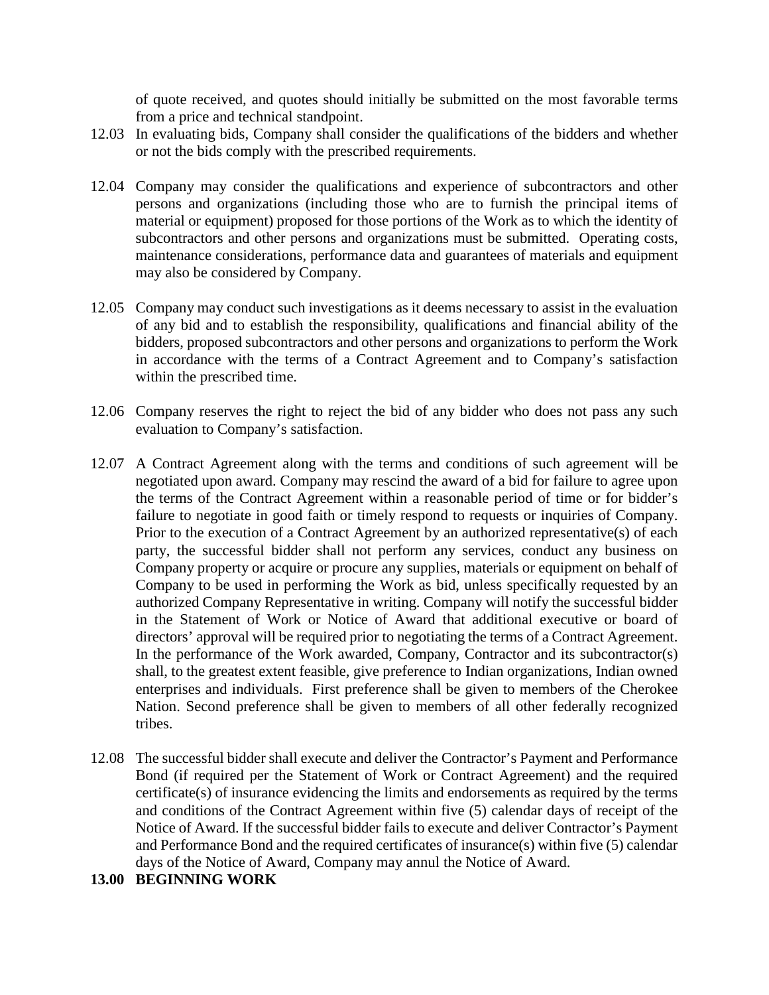of quote received, and quotes should initially be submitted on the most favorable terms from a price and technical standpoint.

- 12.03 In evaluating bids, Company shall consider the qualifications of the bidders and whether or not the bids comply with the prescribed requirements.
- 12.04 Company may consider the qualifications and experience of subcontractors and other persons and organizations (including those who are to furnish the principal items of material or equipment) proposed for those portions of the Work as to which the identity of subcontractors and other persons and organizations must be submitted. Operating costs, maintenance considerations, performance data and guarantees of materials and equipment may also be considered by Company.
- 12.05 Company may conduct such investigations as it deems necessary to assist in the evaluation of any bid and to establish the responsibility, qualifications and financial ability of the bidders, proposed subcontractors and other persons and organizations to perform the Work in accordance with the terms of a Contract Agreement and to Company's satisfaction within the prescribed time.
- 12.06 Company reserves the right to reject the bid of any bidder who does not pass any such evaluation to Company's satisfaction.
- 12.07 A Contract Agreement along with the terms and conditions of such agreement will be negotiated upon award. Company may rescind the award of a bid for failure to agree upon the terms of the Contract Agreement within a reasonable period of time or for bidder's failure to negotiate in good faith or timely respond to requests or inquiries of Company. Prior to the execution of a Contract Agreement by an authorized representative(s) of each party, the successful bidder shall not perform any services, conduct any business on Company property or acquire or procure any supplies, materials or equipment on behalf of Company to be used in performing the Work as bid, unless specifically requested by an authorized Company Representative in writing. Company will notify the successful bidder in the Statement of Work or Notice of Award that additional executive or board of directors' approval will be required prior to negotiating the terms of a Contract Agreement. In the performance of the Work awarded, Company, Contractor and its subcontractor(s) shall, to the greatest extent feasible, give preference to Indian organizations, Indian owned enterprises and individuals. First preference shall be given to members of the Cherokee Nation. Second preference shall be given to members of all other federally recognized tribes.
- 12.08 The successful bidder shall execute and deliver the Contractor's Payment and Performance Bond (if required per the Statement of Work or Contract Agreement) and the required certificate(s) of insurance evidencing the limits and endorsements as required by the terms and conditions of the Contract Agreement within five (5) calendar days of receipt of the Notice of Award. If the successful bidder fails to execute and deliver Contractor's Payment and Performance Bond and the required certificates of insurance(s) within five (5) calendar days of the Notice of Award, Company may annul the Notice of Award.

#### **13.00 BEGINNING WORK**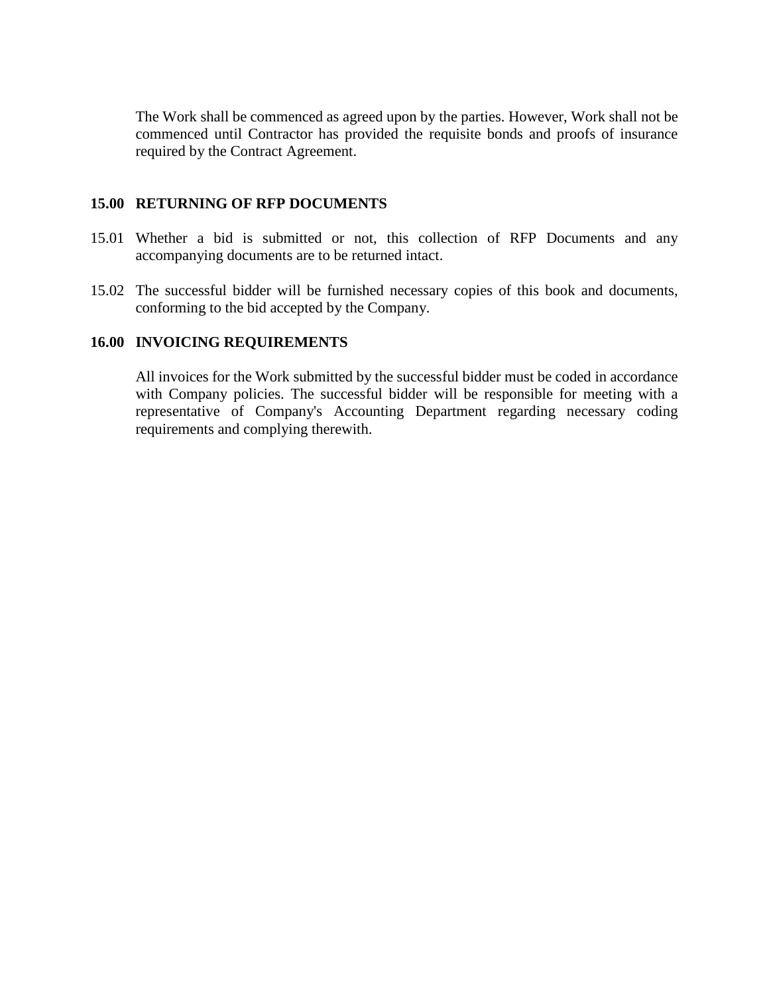The Work shall be commenced as agreed upon by the parties. However, Work shall not be commenced until Contractor has provided the requisite bonds and proofs of insurance required by the Contract Agreement.

#### **15.00 RETURNING OF RFP DOCUMENTS**

- 15.01 Whether a bid is submitted or not, this collection of RFP Documents and any accompanying documents are to be returned intact.
- 15.02 The successful bidder will be furnished necessary copies of this book and documents, conforming to the bid accepted by the Company.

### **16.00 INVOICING REQUIREMENTS**

All invoices for the Work submitted by the successful bidder must be coded in accordance with Company policies. The successful bidder will be responsible for meeting with a representative of Company's Accounting Department regarding necessary coding requirements and complying therewith.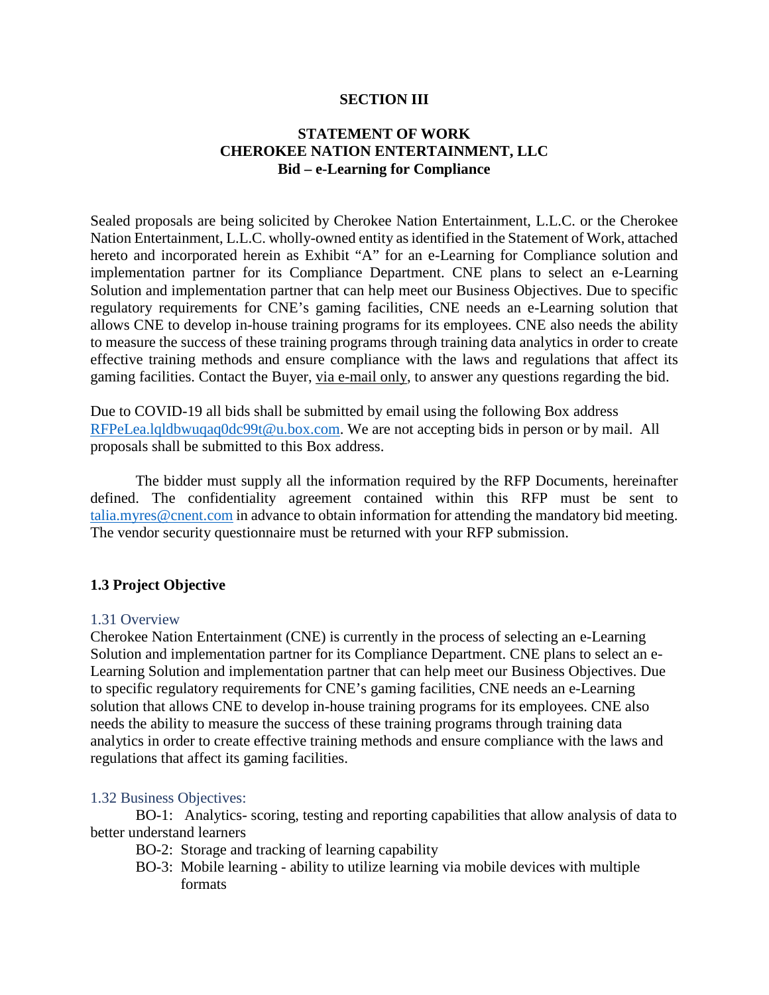#### **SECTION III**

# **STATEMENT OF WORK CHEROKEE NATION ENTERTAINMENT, LLC Bid – e-Learning for Compliance**

Sealed proposals are being solicited by Cherokee Nation Entertainment, L.L.C. or the Cherokee Nation Entertainment, L.L.C. wholly-owned entity as identified in the Statement of Work, attached hereto and incorporated herein as Exhibit "A" for an e-Learning for Compliance solution and implementation partner for its Compliance Department. CNE plans to select an e-Learning Solution and implementation partner that can help meet our Business Objectives. Due to specific regulatory requirements for CNE's gaming facilities, CNE needs an e-Learning solution that allows CNE to develop in-house training programs for its employees. CNE also needs the ability to measure the success of these training programs through training data analytics in order to create effective training methods and ensure compliance with the laws and regulations that affect its gaming facilities. Contact the Buyer, via e-mail only, to answer any questions regarding the bid.

Due to COVID-19 all bids shall be submitted by email using the following Box address [RFPeLea.lqldbwuqaq0dc99t@u.box.com.](mailto:RFPeLea.lqldbwuqaq0dc99t@u.box.com) We are not accepting bids in person or by mail. All proposals shall be submitted to this Box address.

The bidder must supply all the information required by the RFP Documents, hereinafter defined. The confidentiality agreement contained within this RFP must be sent to [talia.myres@cnent.com](mailto:talia.myres@cnent.com) in advance to obtain information for attending the mandatory bid meeting. The vendor security questionnaire must be returned with your RFP submission.

# **1.3 Project Objective**

### 1.31 Overview

Cherokee Nation Entertainment (CNE) is currently in the process of selecting an e-Learning Solution and implementation partner for its Compliance Department. CNE plans to select an e-Learning Solution and implementation partner that can help meet our Business Objectives. Due to specific regulatory requirements for CNE's gaming facilities, CNE needs an e-Learning solution that allows CNE to develop in-house training programs for its employees. CNE also needs the ability to measure the success of these training programs through training data analytics in order to create effective training methods and ensure compliance with the laws and regulations that affect its gaming facilities.

#### 1.32 Business Objectives:

BO-1: Analytics- scoring, testing and reporting capabilities that allow analysis of data to better understand learners

- BO-2: Storage and tracking of learning capability
- BO-3: Mobile learning ability to utilize learning via mobile devices with multiple formats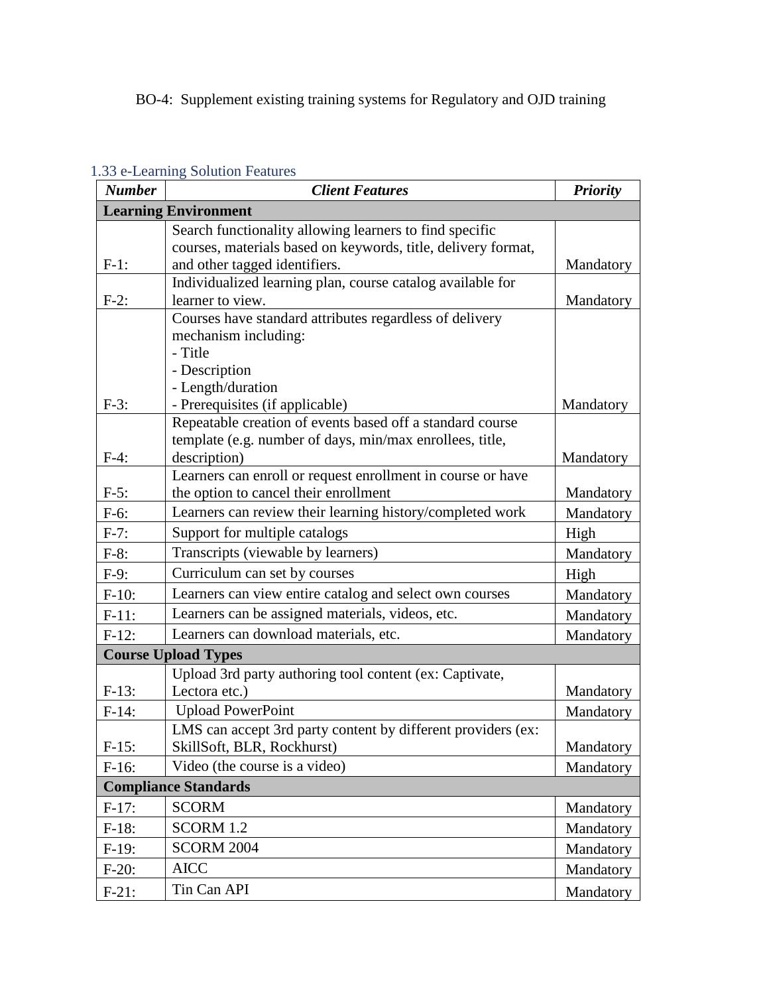# BO-4: Supplement existing training systems for Regulatory and OJD training

| <b>Number</b>              | <b>Client Features</b>                                        | <b>Priority</b> |
|----------------------------|---------------------------------------------------------------|-----------------|
|                            | <b>Learning Environment</b>                                   |                 |
|                            | Search functionality allowing learners to find specific       |                 |
|                            | courses, materials based on keywords, title, delivery format, |                 |
| $F-1$ :                    | and other tagged identifiers.                                 | Mandatory       |
|                            | Individualized learning plan, course catalog available for    |                 |
| $F-2$ :                    | learner to view.                                              | Mandatory       |
|                            | Courses have standard attributes regardless of delivery       |                 |
|                            | mechanism including:<br>- Title                               |                 |
|                            | - Description                                                 |                 |
|                            | - Length/duration                                             |                 |
| $F-3$ :                    | - Prerequisites (if applicable)                               | Mandatory       |
|                            | Repeatable creation of events based off a standard course     |                 |
|                            | template (e.g. number of days, min/max enrollees, title,      |                 |
| $F-4$ :                    | description)                                                  | Mandatory       |
|                            | Learners can enroll or request enrollment in course or have   |                 |
| $F-5$ :                    | the option to cancel their enrollment                         | Mandatory       |
| $F-6$ :                    | Learners can review their learning history/completed work     | Mandatory       |
| $F-7:$                     | Support for multiple catalogs                                 | High            |
| $F-8:$                     | Transcripts (viewable by learners)                            | Mandatory       |
| $F-9:$                     | Curriculum can set by courses                                 | High            |
| $F-10:$                    | Learners can view entire catalog and select own courses       | Mandatory       |
| $F-11$ :                   | Learners can be assigned materials, videos, etc.              | Mandatory       |
| $F-12:$                    | Learners can download materials, etc.                         | Mandatory       |
| <b>Course Upload Types</b> |                                                               |                 |
|                            | Upload 3rd party authoring tool content (ex: Captivate,       |                 |
| $F-13:$                    | Lectora etc.)                                                 | Mandatory       |
| $F-14:$                    | <b>Upload PowerPoint</b>                                      | Mandatory       |
|                            | LMS can accept 3rd party content by different providers (ex:  |                 |
| $F-15:$                    | SkillSoft, BLR, Rockhurst)                                    | Mandatory       |
| $F-16:$                    | Video (the course is a video)                                 | Mandatory       |
|                            | <b>Compliance Standards</b>                                   |                 |
| $F-17:$                    | <b>SCORM</b>                                                  | Mandatory       |
| $F-18:$                    | SCORM 1.2                                                     | Mandatory       |
| $F-19:$                    | <b>SCORM 2004</b>                                             | Mandatory       |
| $F-20:$                    | <b>AICC</b>                                                   | Mandatory       |
| $F-21:$                    | Tin Can API                                                   | Mandatory       |

# 1.33 e-Learning Solution Features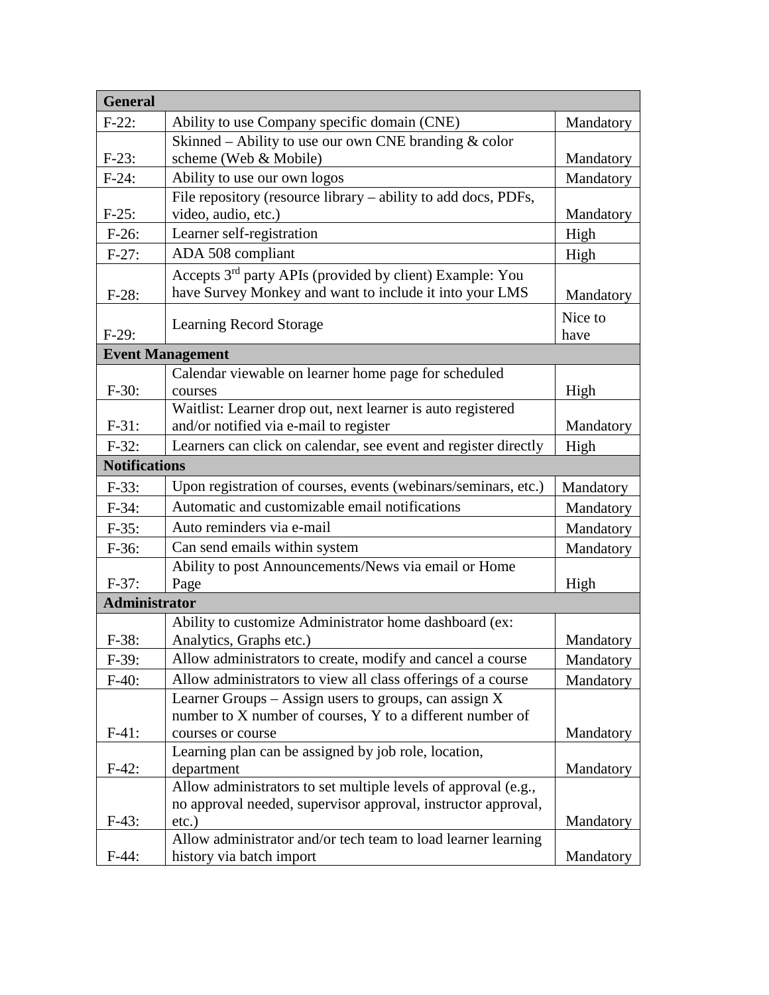| <b>General</b>       |                                                                                                       |           |
|----------------------|-------------------------------------------------------------------------------------------------------|-----------|
| $F-22:$              | Ability to use Company specific domain (CNE)                                                          | Mandatory |
|                      | Skinned - Ability to use our own CNE branding & color                                                 |           |
| $F-23:$              | scheme (Web & Mobile)                                                                                 | Mandatory |
| $F-24:$              | Ability to use our own logos                                                                          | Mandatory |
|                      | File repository (resource library – ability to add docs, PDFs,                                        |           |
| $F-25:$              | video, audio, etc.)                                                                                   | Mandatory |
| $F-26:$              | Learner self-registration                                                                             | High      |
| $F-27:$              | ADA 508 compliant                                                                                     | High      |
|                      | Accepts 3 <sup>rd</sup> party APIs (provided by client) Example: You                                  |           |
| $F-28:$              | have Survey Monkey and want to include it into your LMS                                               | Mandatory |
|                      | <b>Learning Record Storage</b>                                                                        | Nice to   |
| $F-29:$              |                                                                                                       | have      |
|                      | <b>Event Management</b>                                                                               |           |
|                      | Calendar viewable on learner home page for scheduled                                                  |           |
| $F-30:$              | courses                                                                                               | High      |
| $F-31:$              | Waitlist: Learner drop out, next learner is auto registered<br>and/or notified via e-mail to register | Mandatory |
| $F-32:$              | Learners can click on calendar, see event and register directly                                       |           |
| <b>Notifications</b> |                                                                                                       | High      |
|                      |                                                                                                       |           |
| $F-33:$              | Upon registration of courses, events (webinars/seminars, etc.)                                        | Mandatory |
| $F-34:$              | Automatic and customizable email notifications                                                        | Mandatory |
| $F-35:$              | Auto reminders via e-mail                                                                             | Mandatory |
| $F-36:$              | Can send emails within system                                                                         | Mandatory |
|                      | Ability to post Announcements/News via email or Home                                                  |           |
| $F-37:$              | Page                                                                                                  | High      |
| <b>Administrator</b> |                                                                                                       |           |
|                      | Ability to customize Administrator home dashboard (ex:                                                |           |
| $F-38:$              | Analytics, Graphs etc.)                                                                               | Mandatory |
| $F-39:$              | Allow administrators to create, modify and cancel a course                                            | Mandatory |
| $F-40:$              | Allow administrators to view all class offerings of a course                                          | Mandatory |
|                      | Learner Groups $-$ Assign users to groups, can assign X                                               |           |
| $F-41:$              | number to X number of courses, Y to a different number of<br>courses or course                        | Mandatory |
|                      | Learning plan can be assigned by job role, location,                                                  |           |
| $F-42:$              | department                                                                                            | Mandatory |
|                      | Allow administrators to set multiple levels of approval (e.g.,                                        |           |
|                      | no approval needed, supervisor approval, instructor approval,                                         |           |
| $F-43:$              | $etc.$ )                                                                                              | Mandatory |
|                      | Allow administrator and/or tech team to load learner learning                                         |           |
| $F-44:$              | history via batch import                                                                              | Mandatory |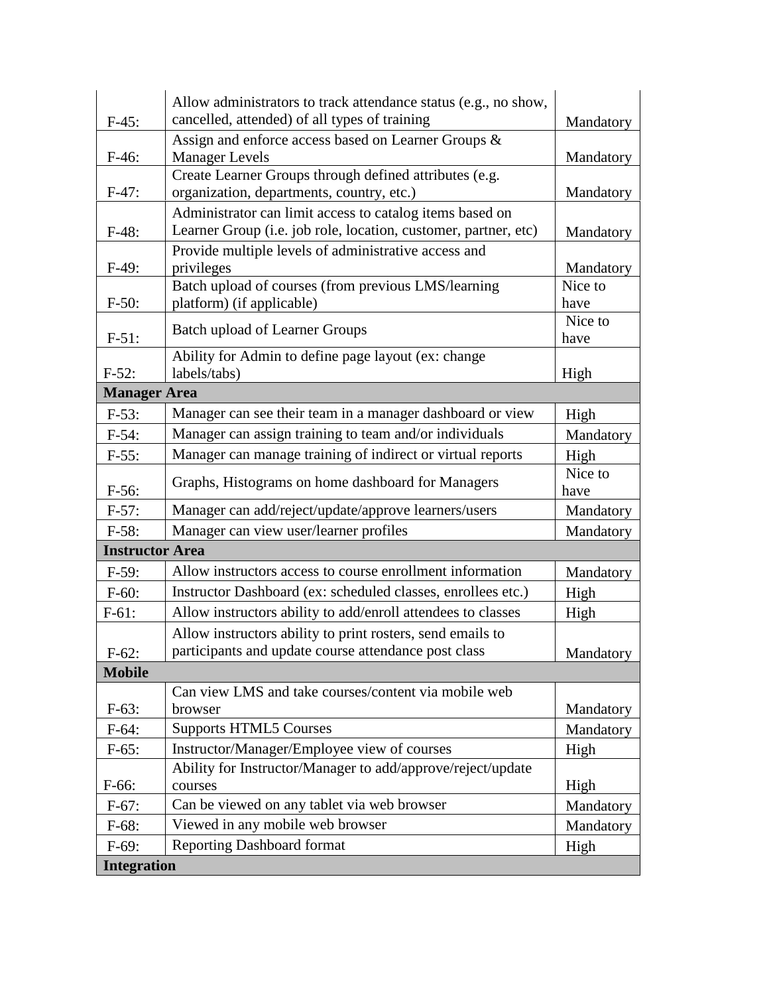| $F-45:$                | Allow administrators to track attendance status (e.g., no show,<br>cancelled, attended) of all types of training | Mandatory       |
|------------------------|------------------------------------------------------------------------------------------------------------------|-----------------|
|                        | Assign and enforce access based on Learner Groups &                                                              |                 |
| $F-46:$                | <b>Manager Levels</b>                                                                                            | Mandatory       |
|                        | Create Learner Groups through defined attributes (e.g.                                                           |                 |
| $F-47:$                | organization, departments, country, etc.)                                                                        | Mandatory       |
|                        | Administrator can limit access to catalog items based on                                                         |                 |
| $F-48:$                | Learner Group (i.e. job role, location, customer, partner, etc)                                                  | Mandatory       |
| $F-49:$                | Provide multiple levels of administrative access and<br>privileges                                               | Mandatory       |
|                        | Batch upload of courses (from previous LMS/learning                                                              | Nice to         |
| $F-50:$                | platform) (if applicable)                                                                                        | have            |
|                        | <b>Batch upload of Learner Groups</b>                                                                            | Nice to         |
| $F-51:$                |                                                                                                                  | have            |
| $F-52:$                | Ability for Admin to define page layout (ex: change<br>labels/tabs)                                              |                 |
| <b>Manager Area</b>    |                                                                                                                  | High            |
|                        | Manager can see their team in a manager dashboard or view                                                        |                 |
| $F-53:$                |                                                                                                                  | High            |
| $F-54:$                | Manager can assign training to team and/or individuals                                                           | Mandatory       |
| $F-55:$                | Manager can manage training of indirect or virtual reports                                                       | High            |
| $F-56:$                | Graphs, Histograms on home dashboard for Managers                                                                | Nice to<br>have |
| $F-57:$                | Manager can add/reject/update/approve learners/users                                                             | Mandatory       |
| $F-58:$                | Manager can view user/learner profiles                                                                           | Mandatory       |
| <b>Instructor Area</b> |                                                                                                                  |                 |
| $F-59:$                | Allow instructors access to course enrollment information                                                        | Mandatory       |
| $F-60:$                | Instructor Dashboard (ex: scheduled classes, enrollees etc.)                                                     | High            |
| $F-61$ :               | Allow instructors ability to add/enroll attendees to classes                                                     | High            |
|                        | Allow instructors ability to print rosters, send emails to                                                       |                 |
| $F-62$ :               | participants and update course attendance post class                                                             | Mandatory       |
| <b>Mobile</b>          |                                                                                                                  |                 |
|                        | Can view LMS and take courses/content via mobile web                                                             |                 |
| $F-63:$                | browser                                                                                                          | Mandatory       |
| $F-64:$                | <b>Supports HTML5 Courses</b>                                                                                    | Mandatory       |
| $F-65:$                | Instructor/Manager/Employee view of courses                                                                      | High            |
|                        | Ability for Instructor/Manager to add/approve/reject/update                                                      |                 |
| F-66:                  | courses                                                                                                          | High            |
| $F-67:$                | Can be viewed on any tablet via web browser                                                                      | Mandatory       |
| $F-68:$                | Viewed in any mobile web browser                                                                                 | Mandatory       |
| $F-69:$                | <b>Reporting Dashboard format</b>                                                                                | High            |
| <b>Integration</b>     |                                                                                                                  |                 |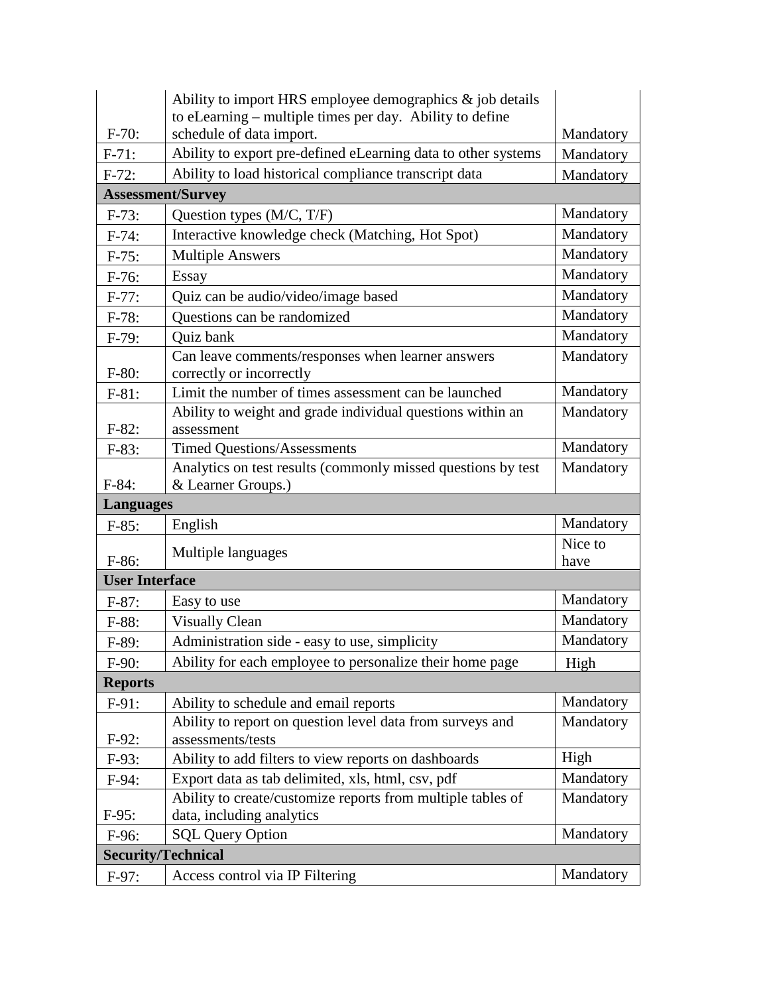|                           | Ability to import HRS employee demographics $\&$ job details                              |                        |
|---------------------------|-------------------------------------------------------------------------------------------|------------------------|
| $F-70:$                   | to eLearning - multiple times per day. Ability to define                                  |                        |
| $F-71:$                   | schedule of data import.<br>Ability to export pre-defined eLearning data to other systems | Mandatory              |
|                           | Ability to load historical compliance transcript data                                     | Mandatory              |
| $F-72:$                   |                                                                                           | Mandatory              |
|                           | <b>Assessment/Survey</b>                                                                  |                        |
| $F-73:$                   | Question types (M/C, T/F)                                                                 | Mandatory              |
| $F-74:$                   | Interactive knowledge check (Matching, Hot Spot)                                          | Mandatory              |
| $F-75:$                   | <b>Multiple Answers</b>                                                                   | Mandatory              |
| $F-76:$                   | Essay                                                                                     | Mandatory              |
| $F-77:$                   | Quiz can be audio/video/image based                                                       | Mandatory              |
| $F-78:$                   | Questions can be randomized                                                               | Mandatory              |
| $F-79:$                   | <b>Ouiz</b> bank                                                                          | Mandatory              |
|                           | Can leave comments/responses when learner answers                                         | Mandatory              |
| $F-80:$                   | correctly or incorrectly                                                                  |                        |
| $F-81:$                   | Limit the number of times assessment can be launched                                      | Mandatory<br>Mandatory |
| $F-82:$                   | Ability to weight and grade individual questions within an<br>assessment                  |                        |
| $F-83:$                   | <b>Timed Questions/Assessments</b>                                                        | Mandatory              |
|                           | Analytics on test results (commonly missed questions by test                              | Mandatory              |
| $F-84:$                   | & Learner Groups.)                                                                        |                        |
|                           | <b>Languages</b>                                                                          |                        |
| $F-85:$                   | English                                                                                   | Mandatory              |
|                           |                                                                                           | Nice to                |
| $F-86:$                   | Multiple languages                                                                        | have                   |
|                           | <b>User Interface</b>                                                                     |                        |
| $F-87:$                   | Easy to use                                                                               | Mandatory              |
| $F-88:$                   | <b>Visually Clean</b>                                                                     | Mandatory              |
| $F-89:$                   | Administration side - easy to use, simplicity                                             | Mandatory              |
| $F-90:$                   | Ability for each employee to personalize their home page                                  | High                   |
| <b>Reports</b>            |                                                                                           |                        |
| $F-91:$                   | Ability to schedule and email reports                                                     | Mandatory              |
|                           | Ability to report on question level data from surveys and                                 | Mandatory              |
| $F-92:$                   | assessments/tests                                                                         |                        |
| $F-93:$                   | Ability to add filters to view reports on dashboards                                      | High                   |
| $F-94:$                   | Export data as tab delimited, xls, html, csv, pdf                                         | Mandatory              |
|                           | Ability to create/customize reports from multiple tables of                               | Mandatory              |
| $F-95:$                   | data, including analytics                                                                 |                        |
| $F-96$ :                  | <b>SQL Query Option</b>                                                                   | Mandatory              |
| <b>Security/Technical</b> |                                                                                           |                        |
| $F-97:$                   | Access control via IP Filtering                                                           | Mandatory              |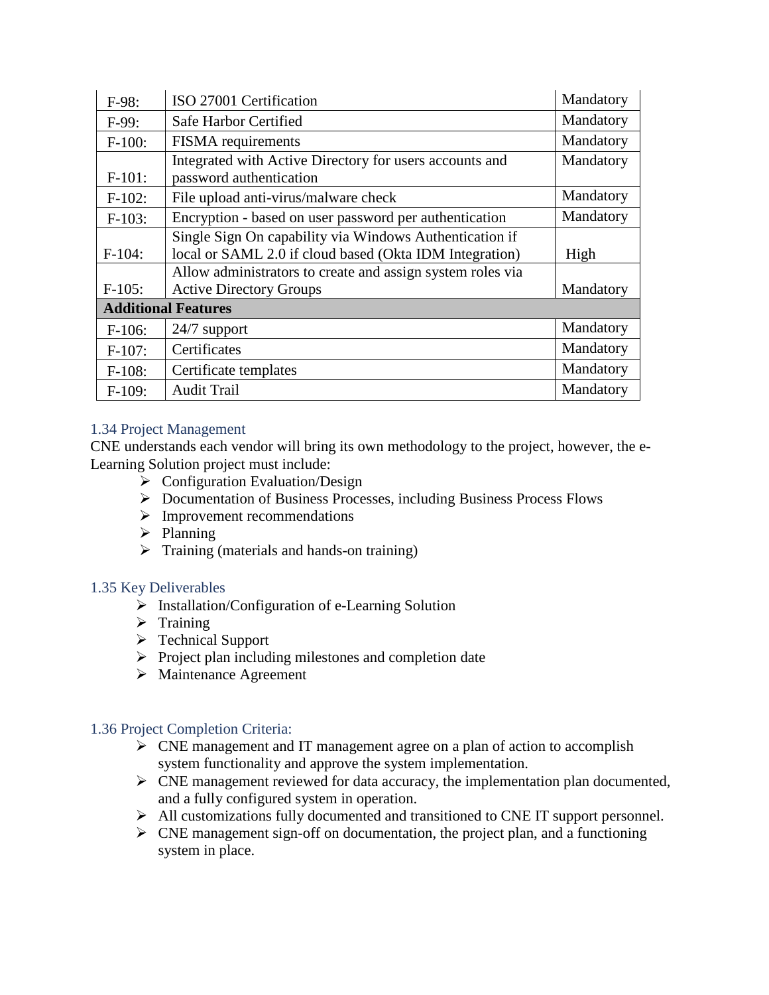| $F-98:$                    | ISO 27001 Certification                                                                                            | Mandatory |
|----------------------------|--------------------------------------------------------------------------------------------------------------------|-----------|
| $F-99:$                    | Safe Harbor Certified                                                                                              | Mandatory |
| $F-100:$                   | <b>FISMA</b> requirements                                                                                          | Mandatory |
| $F-101:$                   | Integrated with Active Directory for users accounts and<br>password authentication                                 | Mandatory |
| $F-102$ :                  | File upload anti-virus/malware check                                                                               | Mandatory |
| $F-103:$                   | Encryption - based on user password per authentication                                                             | Mandatory |
| $F-104$ :                  | Single Sign On capability via Windows Authentication if<br>local or SAML 2.0 if cloud based (Okta IDM Integration) | High      |
|                            | Allow administrators to create and assign system roles via                                                         |           |
| $F-105$ :                  | <b>Active Directory Groups</b>                                                                                     | Mandatory |
| <b>Additional Features</b> |                                                                                                                    |           |
| $F-106:$                   | $24/7$ support                                                                                                     | Mandatory |
| $F-107:$                   | Certificates                                                                                                       | Mandatory |
| $F-108:$                   | Certificate templates                                                                                              | Mandatory |
| $F-109:$                   | <b>Audit Trail</b>                                                                                                 | Mandatory |

# 1.34 Project Management

CNE understands each vendor will bring its own methodology to the project, however, the e-Learning Solution project must include:

- $\triangleright$  Configuration Evaluation/Design
- Documentation of Business Processes, including Business Process Flows
- $\triangleright$  Improvement recommendations
- $\triangleright$  Planning
- $\triangleright$  Training (materials and hands-on training)

# 1.35 Key Deliverables

- $\triangleright$  Installation/Configuration of e-Learning Solution
- $\triangleright$  Training
- > Technical Support
- $\triangleright$  Project plan including milestones and completion date
- Maintenance Agreement

# 1.36 Project Completion Criteria:

- $\triangleright$  CNE management and IT management agree on a plan of action to accomplish system functionality and approve the system implementation.
- $\triangleright$  CNE management reviewed for data accuracy, the implementation plan documented, and a fully configured system in operation.
- All customizations fully documented and transitioned to CNE IT support personnel.
- $\triangleright$  CNE management sign-off on documentation, the project plan, and a functioning system in place.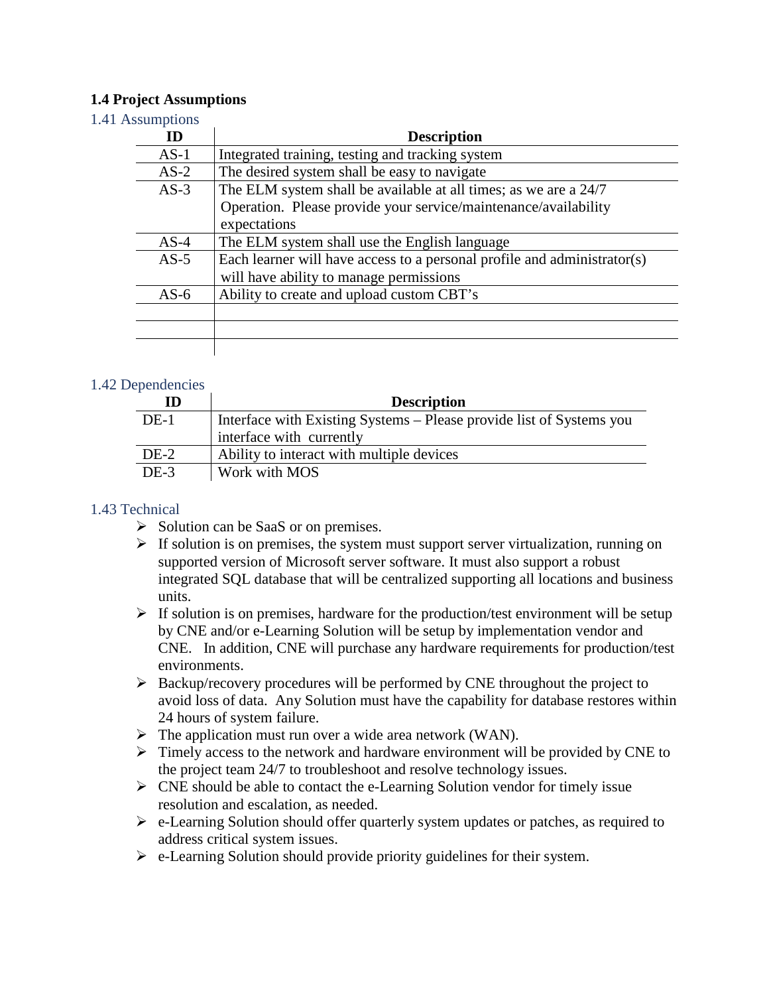### **1.4 Project Assumptions**

### 1.41 Assumptions

| <b>ID</b> | <b>Description</b>                                                       |
|-----------|--------------------------------------------------------------------------|
| $AS-1$    | Integrated training, testing and tracking system                         |
| $AS-2$    | The desired system shall be easy to navigate                             |
| $AS-3$    | The ELM system shall be available at all times; as we are a 24/7         |
|           | Operation. Please provide your service/maintenance/availability          |
|           | expectations                                                             |
| $AS-4$    | The ELM system shall use the English language                            |
| $AS-5$    | Each learner will have access to a personal profile and administrator(s) |
|           | will have ability to manage permissions                                  |
| $AS-6$    | Ability to create and upload custom CBT's                                |
|           |                                                                          |
|           |                                                                          |
|           |                                                                          |

### 1.42 Dependencies

| ID     | <b>Description</b>                                                   |
|--------|----------------------------------------------------------------------|
| $DE-1$ | Interface with Existing Systems – Please provide list of Systems you |
|        | interface with currently                                             |
| DE-2   | Ability to interact with multiple devices                            |
| $DE-3$ | Work with MOS                                                        |

### 1.43 Technical

- $\triangleright$  Solution can be SaaS or on premises.
- $\triangleright$  If solution is on premises, the system must support server virtualization, running on supported version of Microsoft server software. It must also support a robust integrated SQL database that will be centralized supporting all locations and business units.
- $\triangleright$  If solution is on premises, hardware for the production/test environment will be setup by CNE and/or e-Learning Solution will be setup by implementation vendor and CNE. In addition, CNE will purchase any hardware requirements for production/test environments.
- Backup/recovery procedures will be performed by CNE throughout the project to avoid loss of data. Any Solution must have the capability for database restores within 24 hours of system failure.
- $\triangleright$  The application must run over a wide area network (WAN).
- $\triangleright$  Timely access to the network and hardware environment will be provided by CNE to the project team 24/7 to troubleshoot and resolve technology issues.
- $\triangleright$  CNE should be able to contact the e-Learning Solution vendor for timely issue resolution and escalation, as needed.
- $\triangleright$  e-Learning Solution should offer quarterly system updates or patches, as required to address critical system issues.
- $\triangleright$  e-Learning Solution should provide priority guidelines for their system.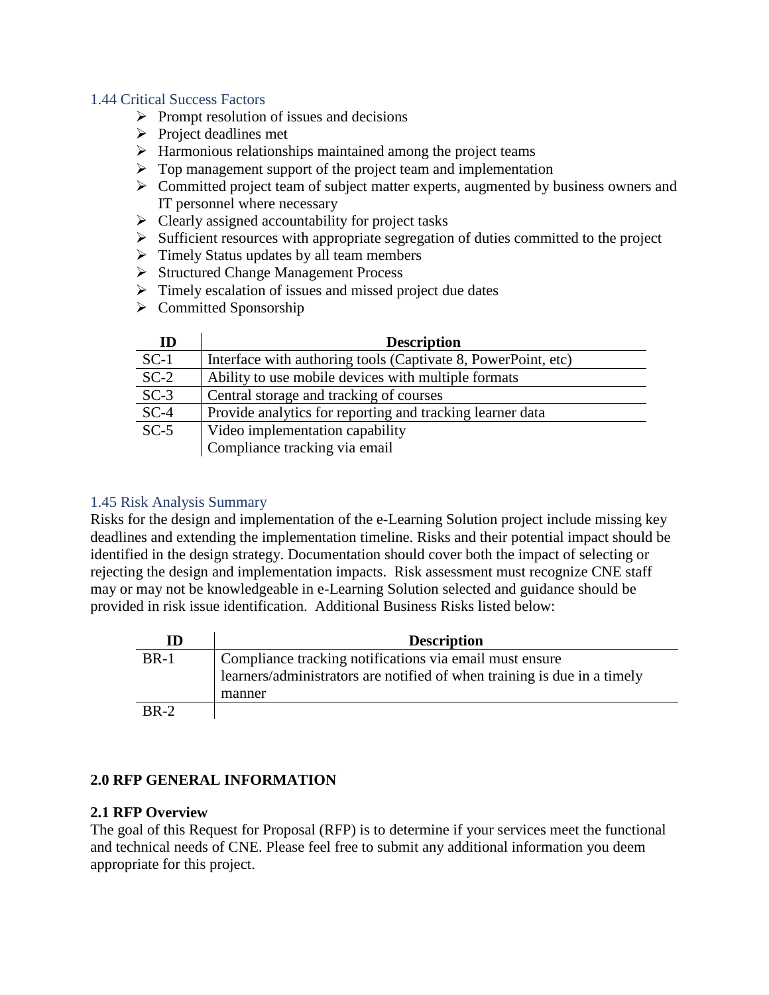### 1.44 Critical Success Factors

- $\triangleright$  Prompt resolution of issues and decisions
- $\triangleright$  Project deadlines met
- $\triangleright$  Harmonious relationships maintained among the project teams
- $\triangleright$  Top management support of the project team and implementation
- $\triangleright$  Committed project team of subject matter experts, augmented by business owners and IT personnel where necessary
- $\triangleright$  Clearly assigned accountability for project tasks
- $\triangleright$  Sufficient resources with appropriate segregation of duties committed to the project
- $\triangleright$  Timely Status updates by all team members
- Structured Change Management Process
- $\triangleright$  Timely escalation of issues and missed project due dates
- $\triangleright$  Committed Sponsorship

| ID     | <b>Description</b>                                            |
|--------|---------------------------------------------------------------|
| $SC-1$ | Interface with authoring tools (Captivate 8, PowerPoint, etc) |
| $SC-2$ | Ability to use mobile devices with multiple formats           |
| $SC-3$ | Central storage and tracking of courses                       |
| $SC-4$ | Provide analytics for reporting and tracking learner data     |
| $SC-5$ | Video implementation capability                               |
|        | Compliance tracking via email                                 |

# 1.45 Risk Analysis Summary

Risks for the design and implementation of the e-Learning Solution project include missing key deadlines and extending the implementation timeline. Risks and their potential impact should be identified in the design strategy. Documentation should cover both the impact of selecting or rejecting the design and implementation impacts. Risk assessment must recognize CNE staff may or may not be knowledgeable in e-Learning Solution selected and guidance should be provided in risk issue identification. Additional Business Risks listed below:

| ID          | <b>Description</b>                                                       |
|-------------|--------------------------------------------------------------------------|
| <b>BR-1</b> | Compliance tracking notifications via email must ensure                  |
|             | learners/administrators are notified of when training is due in a timely |
|             | manner                                                                   |
| $BR-2$      |                                                                          |

# **2.0 RFP GENERAL INFORMATION**

### **2.1 RFP Overview**

The goal of this Request for Proposal (RFP) is to determine if your services meet the functional and technical needs of CNE. Please feel free to submit any additional information you deem appropriate for this project.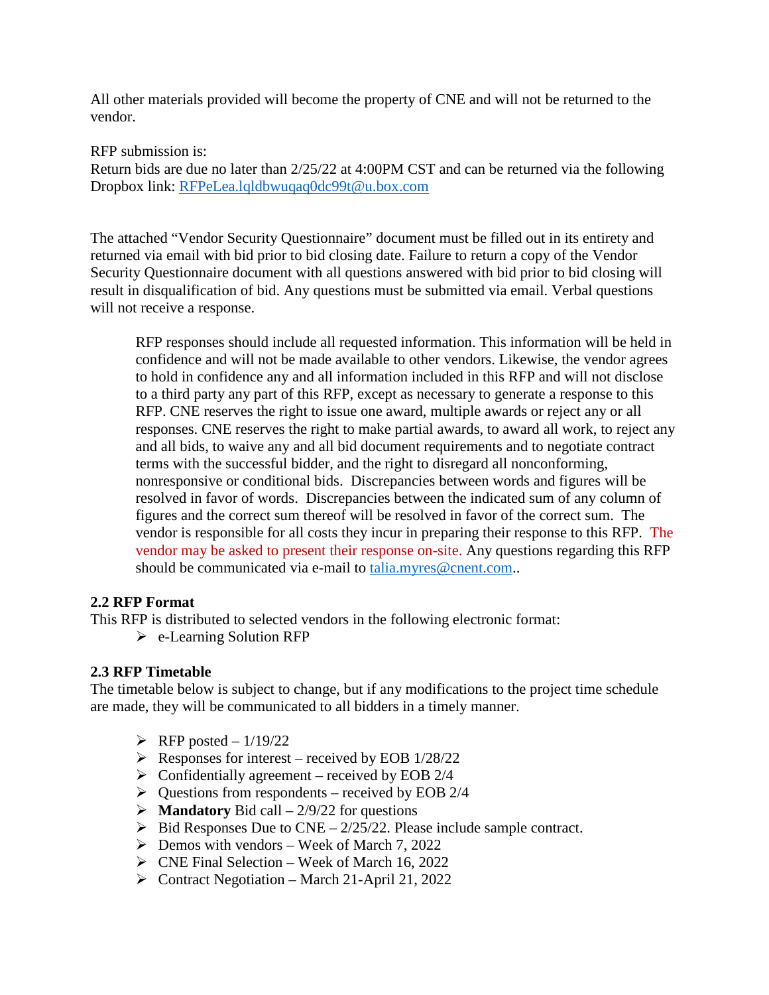All other materials provided will become the property of CNE and will not be returned to the vendor.

RFP submission is:

Return bids are due no later than 2/25/22 at 4:00PM CST and can be returned via the following Dropbox link: [RFPeLea.lqldbwuqaq0dc99t@u.box.com](mailto:RFPeLea.lqldbwuqaq0dc99t@u.box.com)

The attached "Vendor Security Questionnaire" document must be filled out in its entirety and returned via email with bid prior to bid closing date. Failure to return a copy of the Vendor Security Questionnaire document with all questions answered with bid prior to bid closing will result in disqualification of bid. Any questions must be submitted via email. Verbal questions will not receive a response.

RFP responses should include all requested information. This information will be held in confidence and will not be made available to other vendors. Likewise, the vendor agrees to hold in confidence any and all information included in this RFP and will not disclose to a third party any part of this RFP, except as necessary to generate a response to this RFP. CNE reserves the right to issue one award, multiple awards or reject any or all responses. CNE reserves the right to make partial awards, to award all work, to reject any and all bids, to waive any and all bid document requirements and to negotiate contract terms with the successful bidder, and the right to disregard all nonconforming, nonresponsive or conditional bids. Discrepancies between words and figures will be resolved in favor of words. Discrepancies between the indicated sum of any column of figures and the correct sum thereof will be resolved in favor of the correct sum. The vendor is responsible for all costs they incur in preparing their response to this RFP. The vendor may be asked to present their response on-site. Any questions regarding this RFP should be communicated via e-mail to [talia.myres@cnent.com.](mailto:talia.myres@cnent.com).

# **2.2 RFP Format**

This RFP is distributed to selected vendors in the following electronic format:

e-Learning Solution RFP

# **2.3 RFP Timetable**

The timetable below is subject to change, but if any modifications to the project time schedule are made, they will be communicated to all bidders in a timely manner.

- $\triangleright$  RFP posted 1/19/22
- $\triangleright$  Responses for interest received by EOB 1/28/22
- $\triangleright$  Confidentially agreement received by EOB 2/4
- $\triangleright$  Questions from respondents received by EOB 2/4
- $\triangleright$  **Mandatory** Bid call 2/9/22 for questions
- $\triangleright$  Bid Responses Due to CNE 2/25/22. Please include sample contract.
- $\triangleright$  Demos with vendors Week of March 7, 2022
- $\triangleright$  CNE Final Selection Week of March 16, 2022
- $\triangleright$  Contract Negotiation March 21-April 21, 2022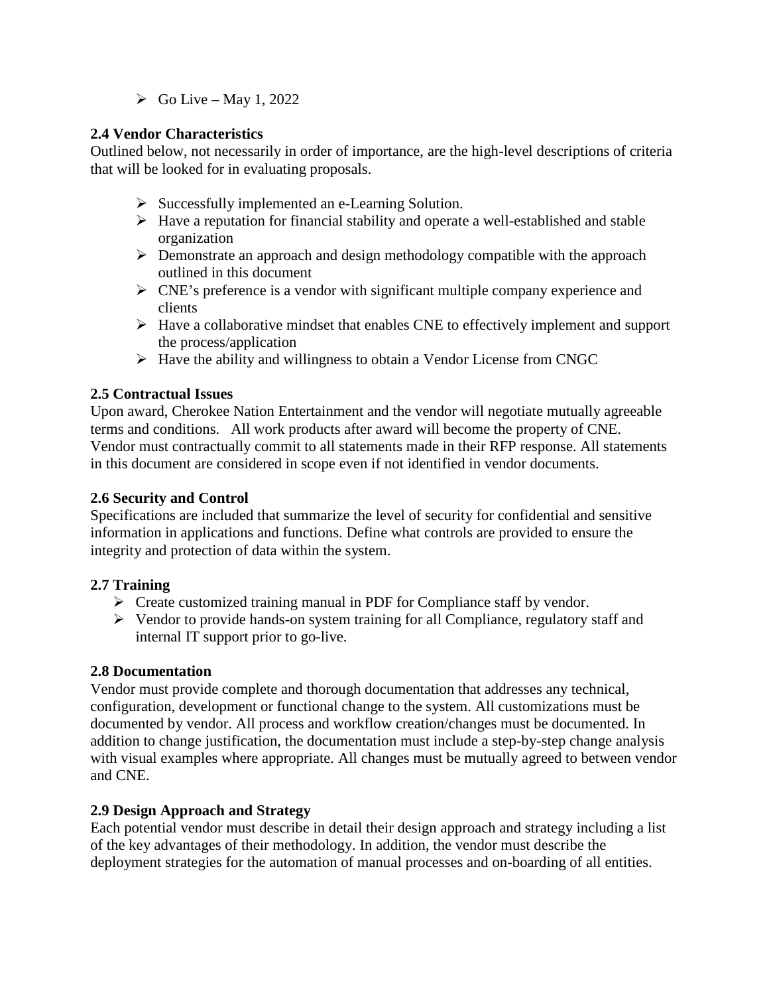$\triangleright$  Go Live – May 1, 2022

# **2.4 Vendor Characteristics**

Outlined below, not necessarily in order of importance, are the high-level descriptions of criteria that will be looked for in evaluating proposals.

- Successfully implemented an e-Learning Solution.
- $\triangleright$  Have a reputation for financial stability and operate a well-established and stable organization
- Demonstrate an approach and design methodology compatible with the approach outlined in this document
- $\triangleright$  CNE's preference is a vendor with significant multiple company experience and clients
- $\triangleright$  Have a collaborative mindset that enables CNE to effectively implement and support the process/application
- $\triangleright$  Have the ability and willingness to obtain a Vendor License from CNGC

# **2.5 Contractual Issues**

Upon award, Cherokee Nation Entertainment and the vendor will negotiate mutually agreeable terms and conditions. All work products after award will become the property of CNE. Vendor must contractually commit to all statements made in their RFP response. All statements in this document are considered in scope even if not identified in vendor documents.

# **2.6 Security and Control**

Specifications are included that summarize the level of security for confidential and sensitive information in applications and functions. Define what controls are provided to ensure the integrity and protection of data within the system.

# **2.7 Training**

- $\triangleright$  Create customized training manual in PDF for Compliance staff by vendor.
- $\triangleright$  Vendor to provide hands-on system training for all Compliance, regulatory staff and internal IT support prior to go-live.

# **2.8 Documentation**

Vendor must provide complete and thorough documentation that addresses any technical, configuration, development or functional change to the system. All customizations must be documented by vendor. All process and workflow creation/changes must be documented. In addition to change justification, the documentation must include a step-by-step change analysis with visual examples where appropriate. All changes must be mutually agreed to between vendor and CNE.

# **2.9 Design Approach and Strategy**

Each potential vendor must describe in detail their design approach and strategy including a list of the key advantages of their methodology. In addition, the vendor must describe the deployment strategies for the automation of manual processes and on-boarding of all entities.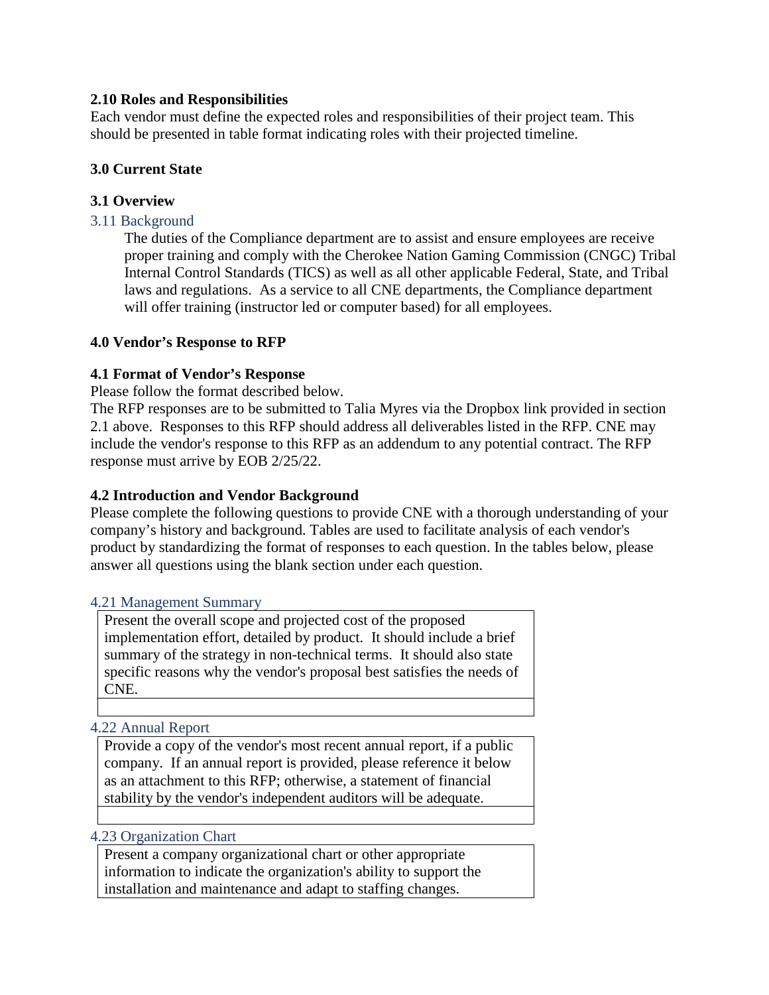# **2.10 Roles and Responsibilities**

Each vendor must define the expected roles and responsibilities of their project team. This should be presented in table format indicating roles with their projected timeline.

# **3.0 Current State**

# **3.1 Overview**

### 3.11 Background

The duties of the Compliance department are to assist and ensure employees are receive proper training and comply with the Cherokee Nation Gaming Commission (CNGC) Tribal Internal Control Standards (TICS) as well as all other applicable Federal, State, and Tribal laws and regulations. As a service to all CNE departments, the Compliance department will offer training (instructor led or computer based) for all employees.

### **4.0 Vendor's Response to RFP**

### **4.1 Format of Vendor's Response**

Please follow the format described below.

The RFP responses are to be submitted to Talia Myres via the Dropbox link provided in section 2.1 above. Responses to this RFP should address all deliverables listed in the RFP. CNE may include the vendor's response to this RFP as an addendum to any potential contract. The RFP response must arrive by EOB 2/25/22.

### **4.2 Introduction and Vendor Background**

Please complete the following questions to provide CNE with a thorough understanding of your company's history and background. Tables are used to facilitate analysis of each vendor's product by standardizing the format of responses to each question. In the tables below, please answer all questions using the blank section under each question.

#### 4.21 Management Summary

Present the overall scope and projected cost of the proposed implementation effort, detailed by product. It should include a brief summary of the strategy in non-technical terms. It should also state specific reasons why the vendor's proposal best satisfies the needs of CNE.

### 4.22 Annual Report

Provide a copy of the vendor's most recent annual report, if a public company. If an annual report is provided, please reference it below as an attachment to this RFP; otherwise, a statement of financial stability by the vendor's independent auditors will be adequate.

#### 4.23 Organization Chart

Present a company organizational chart or other appropriate information to indicate the organization's ability to support the installation and maintenance and adapt to staffing changes.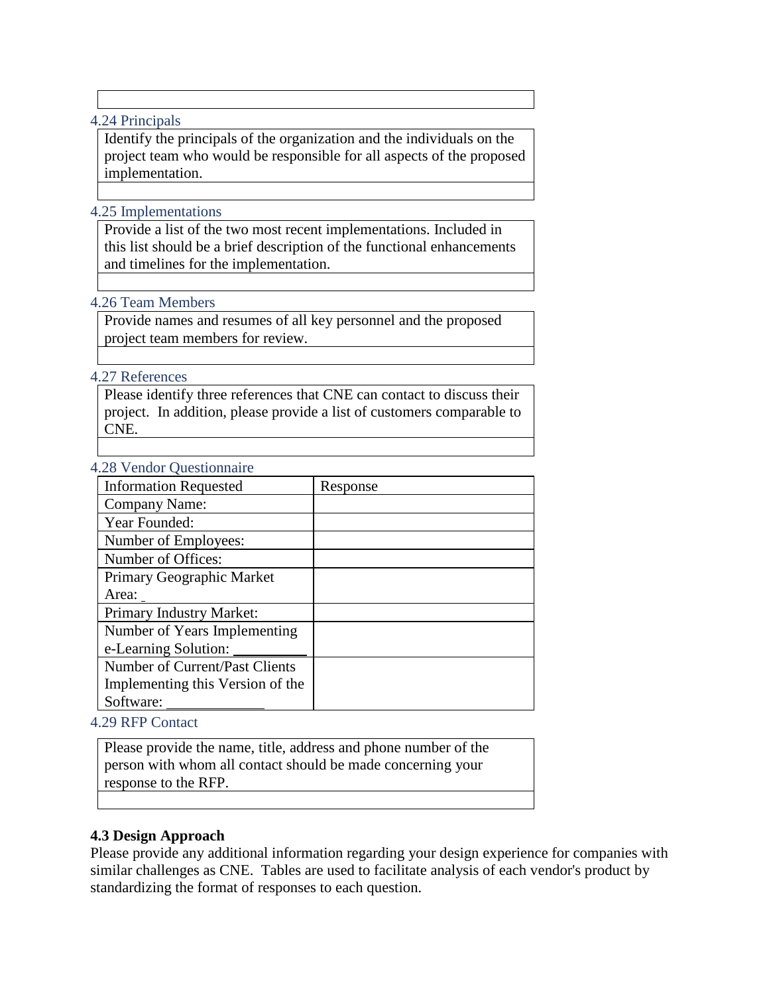### 4.24 Principals

Identify the principals of the organization and the individuals on the project team who would be responsible for all aspects of the proposed implementation.

### 4.25 Implementations

Provide a list of the two most recent implementations. Included in this list should be a brief description of the functional enhancements and timelines for the implementation.

### 4.26 Team Members

Provide names and resumes of all key personnel and the proposed project team members for review.

### 4.27 References

Please identify three references that CNE can contact to discuss their project. In addition, please provide a list of customers comparable to CNE.

### 4.28 Vendor Questionnaire

| <b>Information Requested</b>     | Response |
|----------------------------------|----------|
| Company Name:                    |          |
| Year Founded:                    |          |
| Number of Employees:             |          |
| Number of Offices:               |          |
| Primary Geographic Market        |          |
| Area:                            |          |
| Primary Industry Market:         |          |
| Number of Years Implementing     |          |
| e-Learning Solution:             |          |
| Number of Current/Past Clients   |          |
| Implementing this Version of the |          |
| Software:                        |          |

4.29 RFP Contact

Please provide the name, title, address and phone number of the person with whom all contact should be made concerning your response to the RFP.

# **4.3 Design Approach**

Please provide any additional information regarding your design experience for companies with similar challenges as CNE. Tables are used to facilitate analysis of each vendor's product by standardizing the format of responses to each question.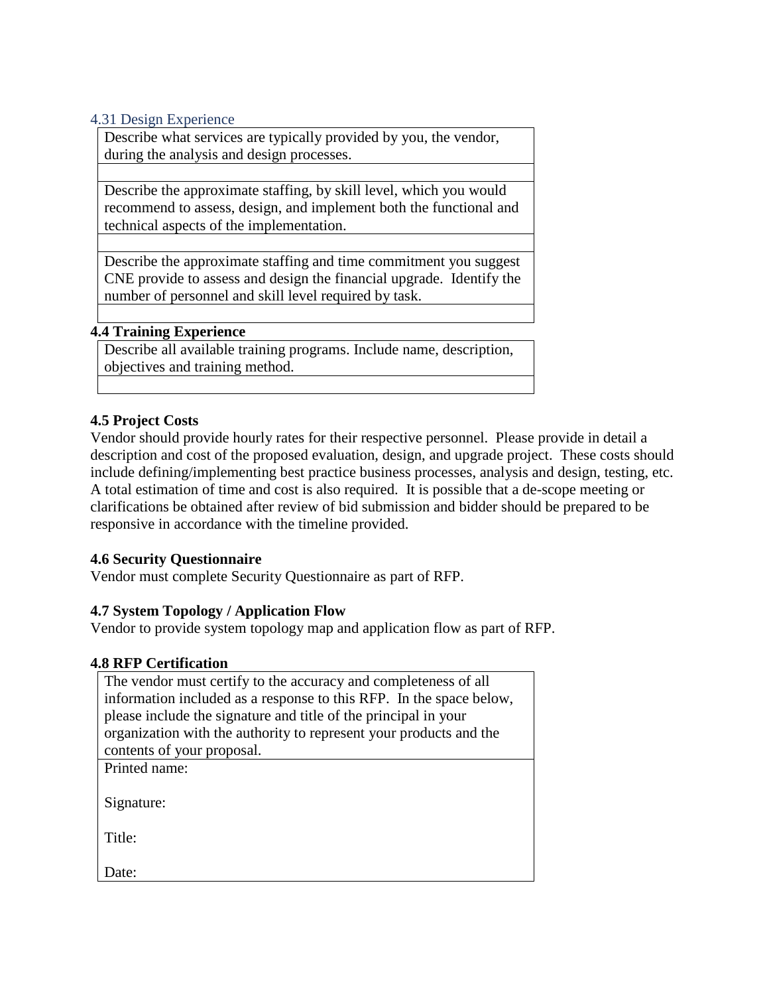#### 4.31 Design Experience

Describe what services are typically provided by you, the vendor, during the analysis and design processes.

Describe the approximate staffing, by skill level, which you would recommend to assess, design, and implement both the functional and technical aspects of the implementation.

Describe the approximate staffing and time commitment you suggest CNE provide to assess and design the financial upgrade. Identify the number of personnel and skill level required by task.

### **4.4 Training Experience**

Describe all available training programs. Include name, description, objectives and training method.

### **4.5 Project Costs**

Vendor should provide hourly rates for their respective personnel. Please provide in detail a description and cost of the proposed evaluation, design, and upgrade project. These costs should include defining/implementing best practice business processes, analysis and design, testing, etc. A total estimation of time and cost is also required. It is possible that a de-scope meeting or clarifications be obtained after review of bid submission and bidder should be prepared to be responsive in accordance with the timeline provided.

### **4.6 Security Questionnaire**

Vendor must complete Security Questionnaire as part of RFP.

### **4.7 System Topology / Application Flow**

Vendor to provide system topology map and application flow as part of RFP.

#### **4.8 RFP Certification**

| The vendor must certify to the accuracy and completeness of all     |
|---------------------------------------------------------------------|
| information included as a response to this RFP. In the space below, |
| please include the signature and title of the principal in your     |
| organization with the authority to represent your products and the  |
| contents of your proposal.                                          |
| Printed name:                                                       |
|                                                                     |
| Signature:                                                          |
|                                                                     |
| Title:                                                              |
|                                                                     |
| Date:                                                               |
|                                                                     |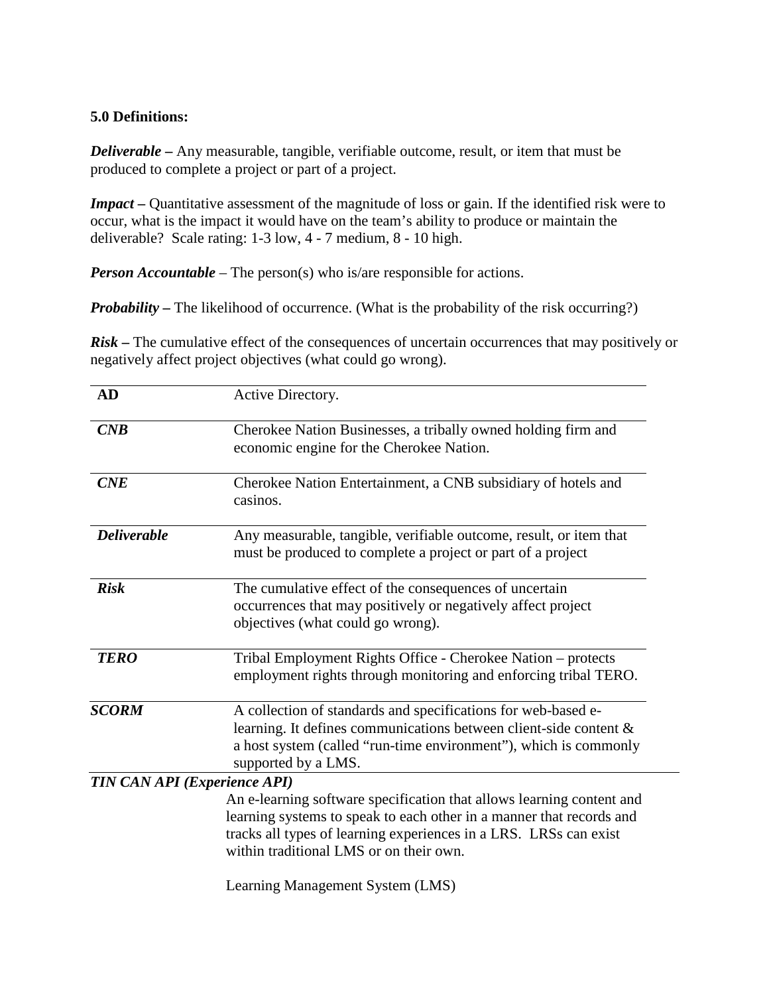# **5.0 Definitions:**

*Deliverable* **–** Any measurable, tangible, verifiable outcome, result, or item that must be produced to complete a project or part of a project.

*Impact* – Quantitative assessment of the magnitude of loss or gain. If the identified risk were to occur, what is the impact it would have on the team's ability to produce or maintain the deliverable? Scale rating: 1-3 low, 4 - 7 medium, 8 - 10 high.

*Person Accountable* – The person(s) who is/are responsible for actions.

*Probability* – The likelihood of occurrence. (What is the probability of the risk occurring?)

*Risk* – The cumulative effect of the consequences of uncertain occurrences that may positively or negatively affect project objectives (what could go wrong).

| <b>AD</b>                           | Active Directory.                                                                                                                                                                                                                                             |
|-------------------------------------|---------------------------------------------------------------------------------------------------------------------------------------------------------------------------------------------------------------------------------------------------------------|
| CNB                                 | Cherokee Nation Businesses, a tribally owned holding firm and<br>economic engine for the Cherokee Nation.                                                                                                                                                     |
| CNE                                 | Cherokee Nation Entertainment, a CNB subsidiary of hotels and<br>casinos.                                                                                                                                                                                     |
| <b>Deliverable</b>                  | Any measurable, tangible, verifiable outcome, result, or item that<br>must be produced to complete a project or part of a project                                                                                                                             |
| <b>Risk</b>                         | The cumulative effect of the consequences of uncertain<br>occurrences that may positively or negatively affect project<br>objectives (what could go wrong).                                                                                                   |
| <b>TERO</b>                         | Tribal Employment Rights Office - Cherokee Nation - protects<br>employment rights through monitoring and enforcing tribal TERO.                                                                                                                               |
| <b>SCORM</b>                        | A collection of standards and specifications for web-based e-<br>learning. It defines communications between client-side content $\&$<br>a host system (called "run-time environment"), which is commonly<br>supported by a LMS.                              |
| <b>TIN CAN API (Experience API)</b> |                                                                                                                                                                                                                                                               |
|                                     | An e-learning software specification that allows learning content and<br>learning systems to speak to each other in a manner that records and<br>tracks all types of learning experiences in a LRS. LRSs can exist<br>within traditional LMS or on their own. |
|                                     | Learning Management System (LMS)                                                                                                                                                                                                                              |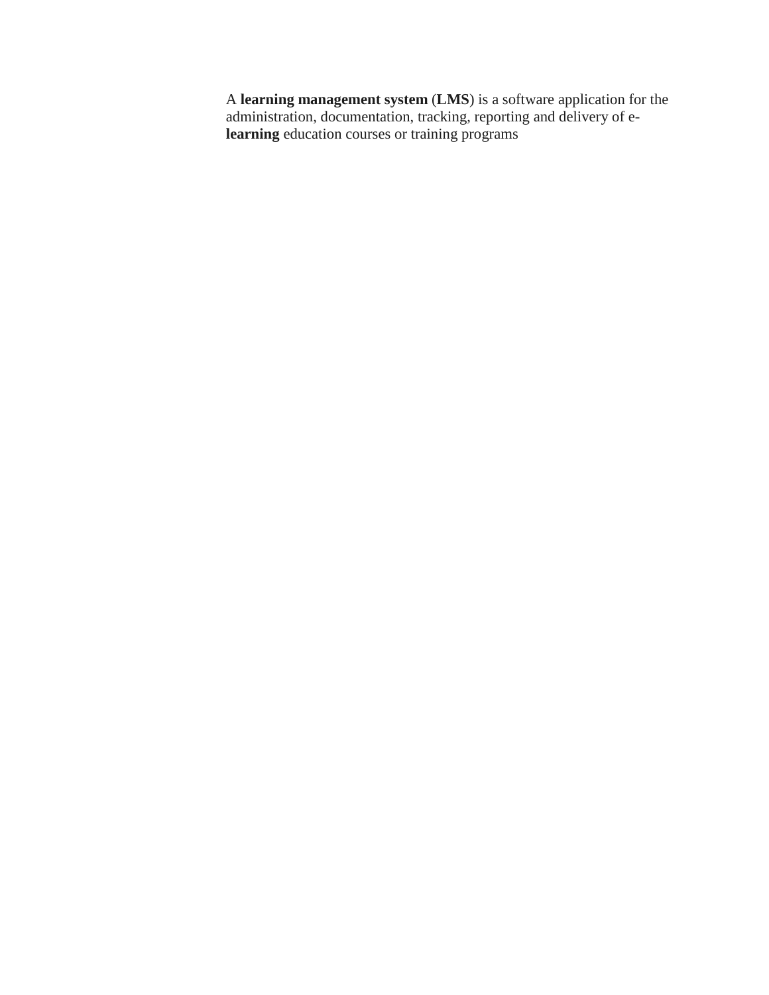A **learning management system** (**LMS**) is a software application for the administration, documentation, tracking, reporting and delivery of e**learning** education courses or training programs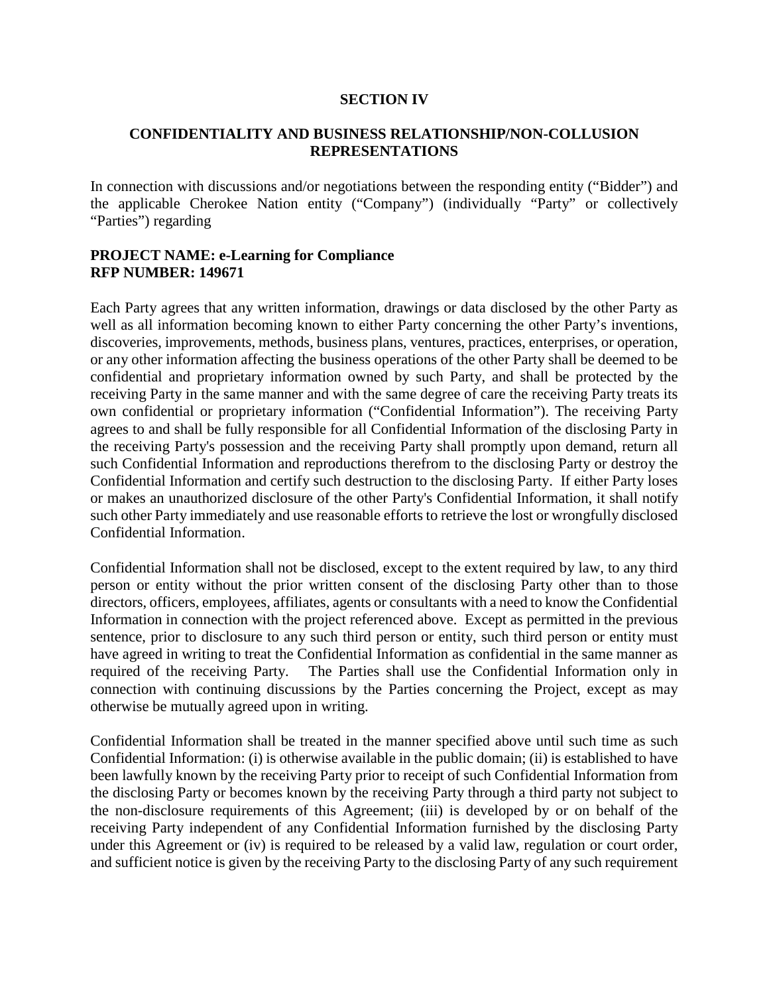#### **SECTION IV**

### **CONFIDENTIALITY AND BUSINESS RELATIONSHIP/NON-COLLUSION REPRESENTATIONS**

In connection with discussions and/or negotiations between the responding entity ("Bidder") and the applicable Cherokee Nation entity ("Company") (individually "Party" or collectively "Parties") regarding

### **PROJECT NAME: e-Learning for Compliance RFP NUMBER: 149671**

Each Party agrees that any written information, drawings or data disclosed by the other Party as well as all information becoming known to either Party concerning the other Party's inventions, discoveries, improvements, methods, business plans, ventures, practices, enterprises, or operation, or any other information affecting the business operations of the other Party shall be deemed to be confidential and proprietary information owned by such Party, and shall be protected by the receiving Party in the same manner and with the same degree of care the receiving Party treats its own confidential or proprietary information ("Confidential Information"). The receiving Party agrees to and shall be fully responsible for all Confidential Information of the disclosing Party in the receiving Party's possession and the receiving Party shall promptly upon demand, return all such Confidential Information and reproductions therefrom to the disclosing Party or destroy the Confidential Information and certify such destruction to the disclosing Party. If either Party loses or makes an unauthorized disclosure of the other Party's Confidential Information, it shall notify such other Party immediately and use reasonable efforts to retrieve the lost or wrongfully disclosed Confidential Information.

Confidential Information shall not be disclosed, except to the extent required by law, to any third person or entity without the prior written consent of the disclosing Party other than to those directors, officers, employees, affiliates, agents or consultants with a need to know the Confidential Information in connection with the project referenced above. Except as permitted in the previous sentence, prior to disclosure to any such third person or entity, such third person or entity must have agreed in writing to treat the Confidential Information as confidential in the same manner as required of the receiving Party. The Parties shall use the Confidential Information only in connection with continuing discussions by the Parties concerning the Project, except as may otherwise be mutually agreed upon in writing.

Confidential Information shall be treated in the manner specified above until such time as such Confidential Information: (i) is otherwise available in the public domain; (ii) is established to have been lawfully known by the receiving Party prior to receipt of such Confidential Information from the disclosing Party or becomes known by the receiving Party through a third party not subject to the non-disclosure requirements of this Agreement; (iii) is developed by or on behalf of the receiving Party independent of any Confidential Information furnished by the disclosing Party under this Agreement or (iv) is required to be released by a valid law, regulation or court order, and sufficient notice is given by the receiving Party to the disclosing Party of any such requirement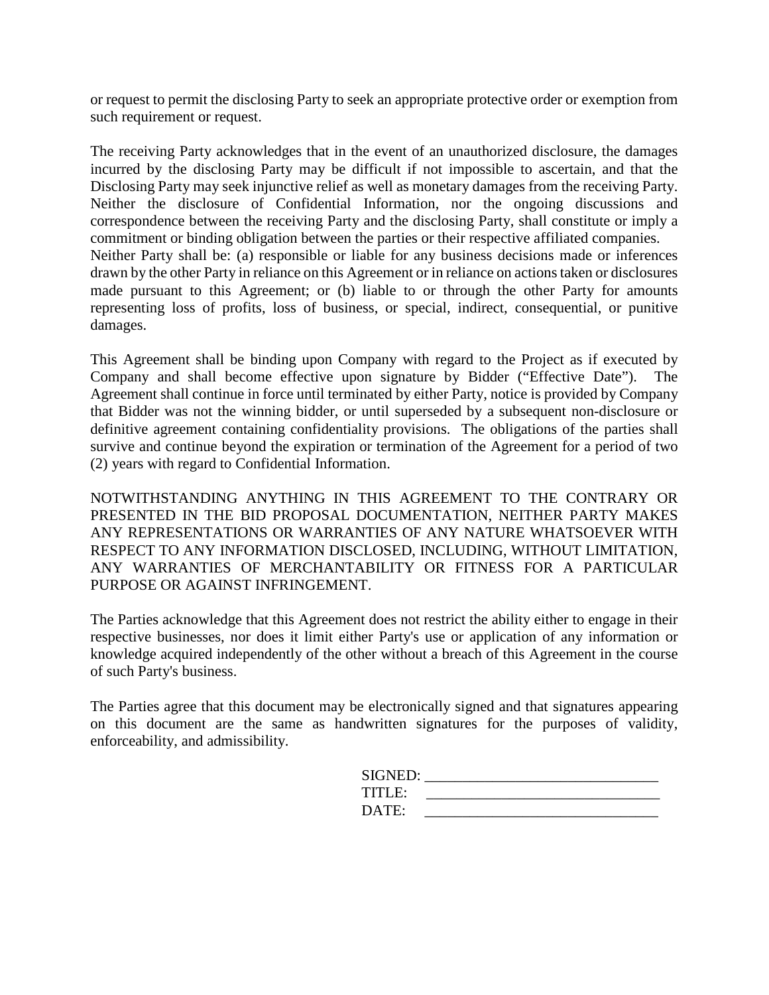or request to permit the disclosing Party to seek an appropriate protective order or exemption from such requirement or request.

The receiving Party acknowledges that in the event of an unauthorized disclosure, the damages incurred by the disclosing Party may be difficult if not impossible to ascertain, and that the Disclosing Party may seek injunctive relief as well as monetary damages from the receiving Party. Neither the disclosure of Confidential Information, nor the ongoing discussions and correspondence between the receiving Party and the disclosing Party, shall constitute or imply a commitment or binding obligation between the parties or their respective affiliated companies. Neither Party shall be: (a) responsible or liable for any business decisions made or inferences drawn by the other Party in reliance on this Agreement or in reliance on actions taken or disclosures made pursuant to this Agreement; or (b) liable to or through the other Party for amounts representing loss of profits, loss of business, or special, indirect, consequential, or punitive damages.

This Agreement shall be binding upon Company with regard to the Project as if executed by Company and shall become effective upon signature by Bidder ("Effective Date"). The Agreement shall continue in force until terminated by either Party, notice is provided by Company that Bidder was not the winning bidder, or until superseded by a subsequent non-disclosure or definitive agreement containing confidentiality provisions. The obligations of the parties shall survive and continue beyond the expiration or termination of the Agreement for a period of two (2) years with regard to Confidential Information.

NOTWITHSTANDING ANYTHING IN THIS AGREEMENT TO THE CONTRARY OR PRESENTED IN THE BID PROPOSAL DOCUMENTATION, NEITHER PARTY MAKES ANY REPRESENTATIONS OR WARRANTIES OF ANY NATURE WHATSOEVER WITH RESPECT TO ANY INFORMATION DISCLOSED, INCLUDING, WITHOUT LIMITATION, ANY WARRANTIES OF MERCHANTABILITY OR FITNESS FOR A PARTICULAR PURPOSE OR AGAINST INFRINGEMENT.

The Parties acknowledge that this Agreement does not restrict the ability either to engage in their respective businesses, nor does it limit either Party's use or application of any information or knowledge acquired independently of the other without a breach of this Agreement in the course of such Party's business.

The Parties agree that this document may be electronically signed and that signatures appearing on this document are the same as handwritten signatures for the purposes of validity, enforceability, and admissibility.

| SIGNED: |  |
|---------|--|
| TITLE:  |  |
| DATE:   |  |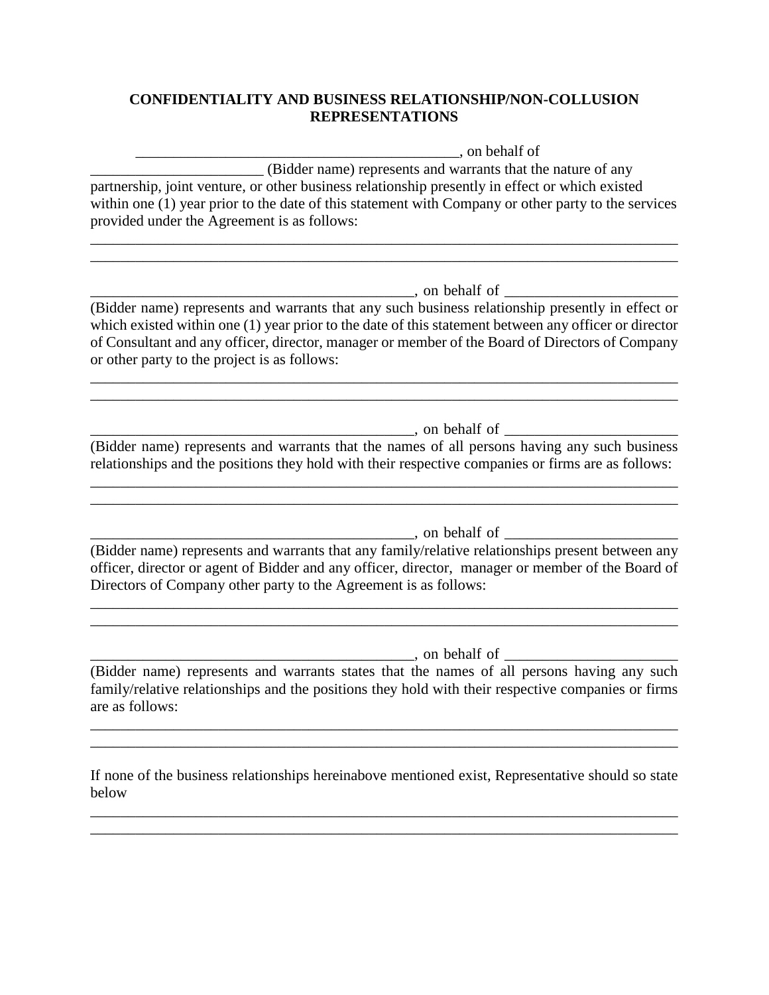# **CONFIDENTIALITY AND BUSINESS RELATIONSHIP/NON-COLLUSION REPRESENTATIONS**

\_\_\_\_\_\_\_\_\_\_\_\_\_\_\_\_\_\_\_\_\_\_\_\_\_\_\_\_\_\_\_\_\_\_\_\_\_\_\_\_\_\_\_, on behalf of \_\_\_\_\_\_\_\_\_\_\_\_\_\_\_\_\_\_\_\_\_\_\_ (Bidder name) represents and warrants that the nature of any partnership, joint venture, or other business relationship presently in effect or which existed within one (1) year prior to the date of this statement with Company or other party to the services provided under the Agreement is as follows:

\_\_\_\_\_\_\_\_\_\_\_\_\_\_\_\_\_\_\_\_\_\_\_\_\_\_\_\_\_\_\_\_\_\_\_\_\_\_\_\_\_\_\_\_\_\_\_\_\_\_\_\_\_\_\_\_\_\_\_\_\_\_\_\_\_\_\_\_\_\_\_\_\_\_\_\_\_\_ \_\_\_\_\_\_\_\_\_\_\_\_\_\_\_\_\_\_\_\_\_\_\_\_\_\_\_\_\_\_\_\_\_\_\_\_\_\_\_\_\_\_\_\_\_\_\_\_\_\_\_\_\_\_\_\_\_\_\_\_\_\_\_\_\_\_\_\_\_\_\_\_\_\_\_\_\_\_

 $\blacksquare$ , on behalf of  $\blacksquare$ 

(Bidder name) represents and warrants that any such business relationship presently in effect or which existed within one (1) year prior to the date of this statement between any officer or director of Consultant and any officer, director, manager or member of the Board of Directors of Company or other party to the project is as follows:

\_\_\_\_\_\_\_\_\_\_\_\_\_\_\_\_\_\_\_\_\_\_\_\_\_\_\_\_\_\_\_\_\_\_\_\_\_\_\_\_\_\_\_\_\_\_\_\_\_\_\_\_\_\_\_\_\_\_\_\_\_\_\_\_\_\_\_\_\_\_\_\_\_\_\_\_\_\_ \_\_\_\_\_\_\_\_\_\_\_\_\_\_\_\_\_\_\_\_\_\_\_\_\_\_\_\_\_\_\_\_\_\_\_\_\_\_\_\_\_\_\_\_\_\_\_\_\_\_\_\_\_\_\_\_\_\_\_\_\_\_\_\_\_\_\_\_\_\_\_\_\_\_\_\_\_\_

 $\Box$ , on behalf of  $\Box$ 

(Bidder name) represents and warrants that the names of all persons having any such business relationships and the positions they hold with their respective companies or firms are as follows:

\_\_\_\_\_\_\_\_\_\_\_\_\_\_\_\_\_\_\_\_\_\_\_\_\_\_\_\_\_\_\_\_\_\_\_\_\_\_\_\_\_\_\_\_\_\_\_\_\_\_\_\_\_\_\_\_\_\_\_\_\_\_\_\_\_\_\_\_\_\_\_\_\_\_\_\_\_\_

\_\_\_\_\_\_\_\_\_\_\_\_\_\_\_\_\_\_\_\_\_\_\_\_\_\_\_\_\_\_\_\_\_\_\_\_\_\_\_\_\_\_\_, on behalf of \_\_\_\_\_\_\_\_\_\_\_\_\_\_\_\_\_\_\_\_\_\_\_

\_\_\_\_\_\_\_\_\_\_\_\_\_\_\_\_\_\_\_\_\_\_\_\_\_\_\_\_\_\_\_\_\_\_\_\_\_\_\_\_\_\_\_\_\_\_\_\_\_\_\_\_\_\_\_\_\_\_\_\_\_\_\_\_\_\_\_\_\_\_\_\_\_\_\_\_\_\_

(Bidder name) represents and warrants that any family/relative relationships present between any officer, director or agent of Bidder and any officer, director, manager or member of the Board of Directors of Company other party to the Agreement is as follows:

\_\_\_\_\_\_\_\_\_\_\_\_\_\_\_\_\_\_\_\_\_\_\_\_\_\_\_\_\_\_\_\_\_\_\_\_\_\_\_\_\_\_\_\_\_\_\_\_\_\_\_\_\_\_\_\_\_\_\_\_\_\_\_\_\_\_\_\_\_\_\_\_\_\_\_\_\_\_ \_\_\_\_\_\_\_\_\_\_\_\_\_\_\_\_\_\_\_\_\_\_\_\_\_\_\_\_\_\_\_\_\_\_\_\_\_\_\_\_\_\_\_\_\_\_\_\_\_\_\_\_\_\_\_\_\_\_\_\_\_\_\_\_\_\_\_\_\_\_\_\_\_\_\_\_\_\_

\_\_\_\_\_\_\_\_\_\_\_\_\_\_\_\_\_\_\_\_\_\_\_\_\_\_\_\_\_\_\_\_\_\_\_\_\_\_\_\_\_\_\_, on behalf of \_\_\_\_\_\_\_\_\_\_\_\_\_\_\_\_\_\_\_\_\_\_\_

(Bidder name) represents and warrants states that the names of all persons having any such family/relative relationships and the positions they hold with their respective companies or firms are as follows:

\_\_\_\_\_\_\_\_\_\_\_\_\_\_\_\_\_\_\_\_\_\_\_\_\_\_\_\_\_\_\_\_\_\_\_\_\_\_\_\_\_\_\_\_\_\_\_\_\_\_\_\_\_\_\_\_\_\_\_\_\_\_\_\_\_\_\_\_\_\_\_\_\_\_\_\_\_\_ \_\_\_\_\_\_\_\_\_\_\_\_\_\_\_\_\_\_\_\_\_\_\_\_\_\_\_\_\_\_\_\_\_\_\_\_\_\_\_\_\_\_\_\_\_\_\_\_\_\_\_\_\_\_\_\_\_\_\_\_\_\_\_\_\_\_\_\_\_\_\_\_\_\_\_\_\_\_

If none of the business relationships hereinabove mentioned exist, Representative should so state below

\_\_\_\_\_\_\_\_\_\_\_\_\_\_\_\_\_\_\_\_\_\_\_\_\_\_\_\_\_\_\_\_\_\_\_\_\_\_\_\_\_\_\_\_\_\_\_\_\_\_\_\_\_\_\_\_\_\_\_\_\_\_\_\_\_\_\_\_\_\_\_\_\_\_\_\_\_\_ \_\_\_\_\_\_\_\_\_\_\_\_\_\_\_\_\_\_\_\_\_\_\_\_\_\_\_\_\_\_\_\_\_\_\_\_\_\_\_\_\_\_\_\_\_\_\_\_\_\_\_\_\_\_\_\_\_\_\_\_\_\_\_\_\_\_\_\_\_\_\_\_\_\_\_\_\_\_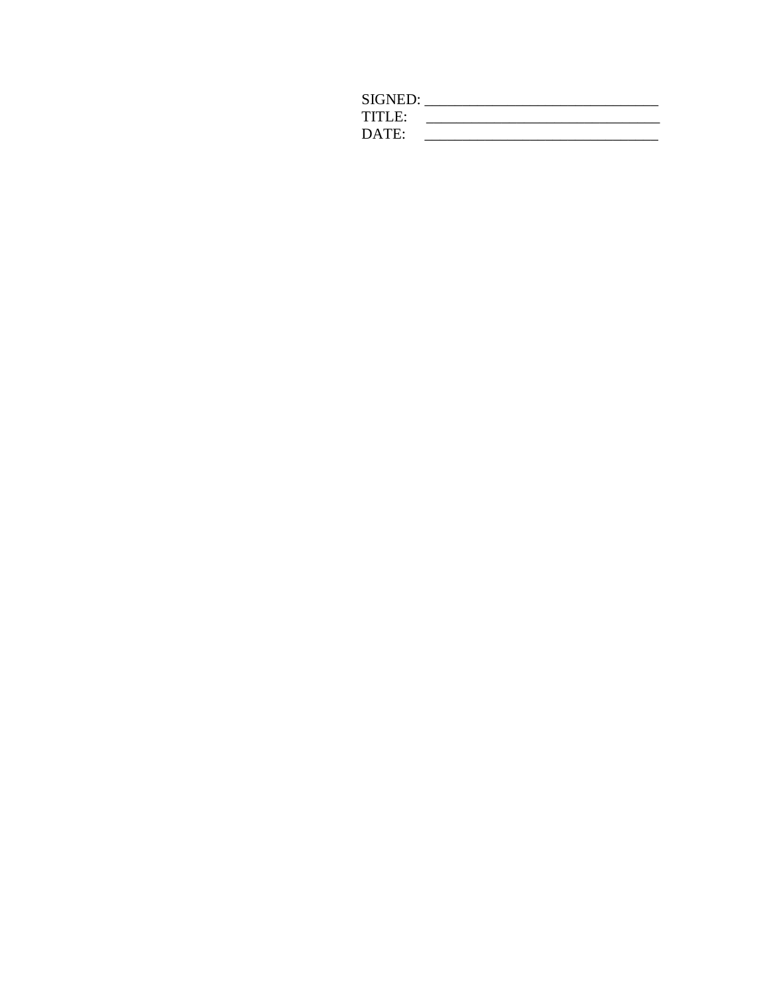| SIGNED: |  |
|---------|--|
| TITLE:  |  |
| DATE:   |  |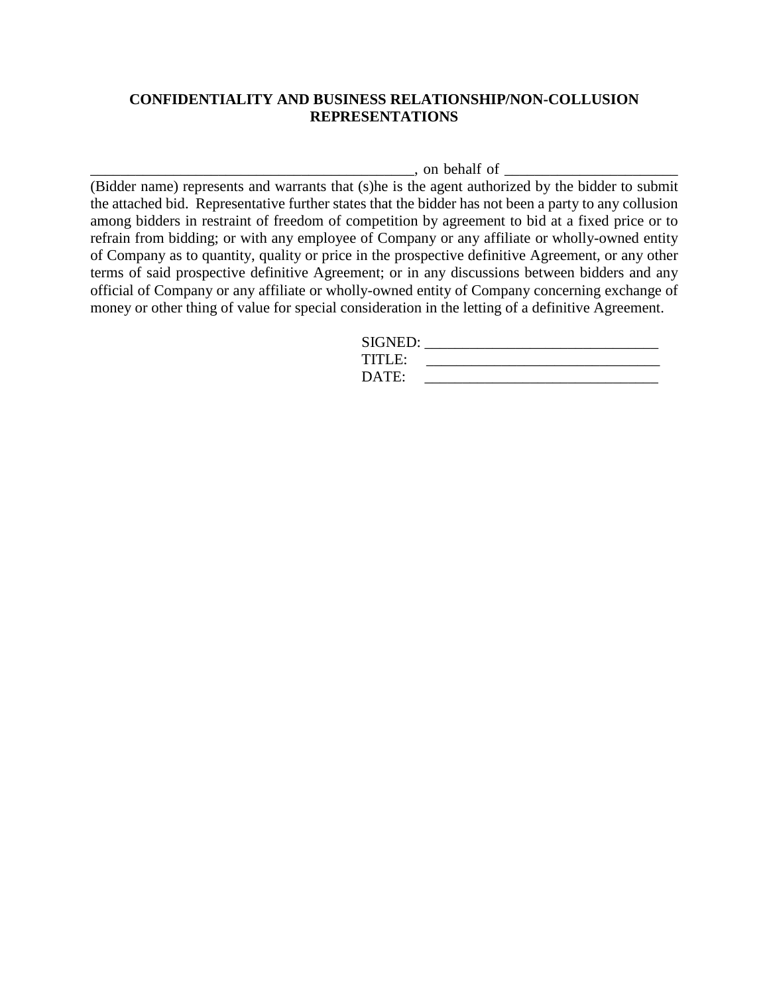### **CONFIDENTIALITY AND BUSINESS RELATIONSHIP/NON-COLLUSION REPRESENTATIONS**

 $\Box$ , on behalf of  $\Box$ 

(Bidder name) represents and warrants that (s)he is the agent authorized by the bidder to submit the attached bid. Representative further states that the bidder has not been a party to any collusion among bidders in restraint of freedom of competition by agreement to bid at a fixed price or to refrain from bidding; or with any employee of Company or any affiliate or wholly-owned entity of Company as to quantity, quality or price in the prospective definitive Agreement, or any other terms of said prospective definitive Agreement; or in any discussions between bidders and any official of Company or any affiliate or wholly-owned entity of Company concerning exchange of money or other thing of value for special consideration in the letting of a definitive Agreement.

| SIGNED: |  |
|---------|--|
| TITLE:  |  |
| DATE:   |  |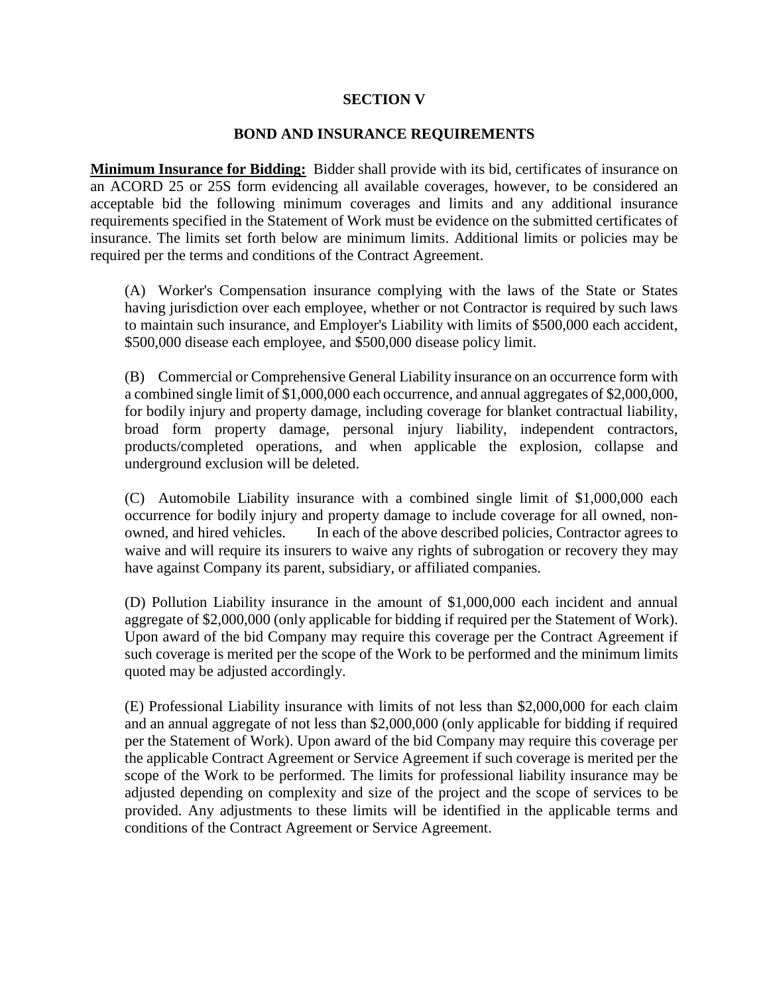### **SECTION V**

### **BOND AND INSURANCE REQUIREMENTS**

**Minimum Insurance for Bidding:** Bidder shall provide with its bid, certificates of insurance on an ACORD 25 or 25S form evidencing all available coverages, however, to be considered an acceptable bid the following minimum coverages and limits and any additional insurance requirements specified in the Statement of Work must be evidence on the submitted certificates of insurance. The limits set forth below are minimum limits. Additional limits or policies may be required per the terms and conditions of the Contract Agreement.

(A) Worker's Compensation insurance complying with the laws of the State or States having jurisdiction over each employee, whether or not Contractor is required by such laws to maintain such insurance, and Employer's Liability with limits of \$500,000 each accident, \$500,000 disease each employee, and \$500,000 disease policy limit.

(B) Commercial or Comprehensive General Liability insurance on an occurrence form with a combined single limit of \$1,000,000 each occurrence, and annual aggregates of \$2,000,000, for bodily injury and property damage, including coverage for blanket contractual liability, broad form property damage, personal injury liability, independent contractors, products/completed operations, and when applicable the explosion, collapse and underground exclusion will be deleted.

(C) Automobile Liability insurance with a combined single limit of \$1,000,000 each occurrence for bodily injury and property damage to include coverage for all owned, nonowned, and hired vehicles. In each of the above described policies, Contractor agrees to waive and will require its insurers to waive any rights of subrogation or recovery they may have against Company its parent, subsidiary, or affiliated companies.

(D) Pollution Liability insurance in the amount of \$1,000,000 each incident and annual aggregate of \$2,000,000 (only applicable for bidding if required per the Statement of Work). Upon award of the bid Company may require this coverage per the Contract Agreement if such coverage is merited per the scope of the Work to be performed and the minimum limits quoted may be adjusted accordingly.

(E) Professional Liability insurance with limits of not less than \$2,000,000 for each claim and an annual aggregate of not less than \$2,000,000 (only applicable for bidding if required per the Statement of Work). Upon award of the bid Company may require this coverage per the applicable Contract Agreement or Service Agreement if such coverage is merited per the scope of the Work to be performed. The limits for professional liability insurance may be adjusted depending on complexity and size of the project and the scope of services to be provided. Any adjustments to these limits will be identified in the applicable terms and conditions of the Contract Agreement or Service Agreement.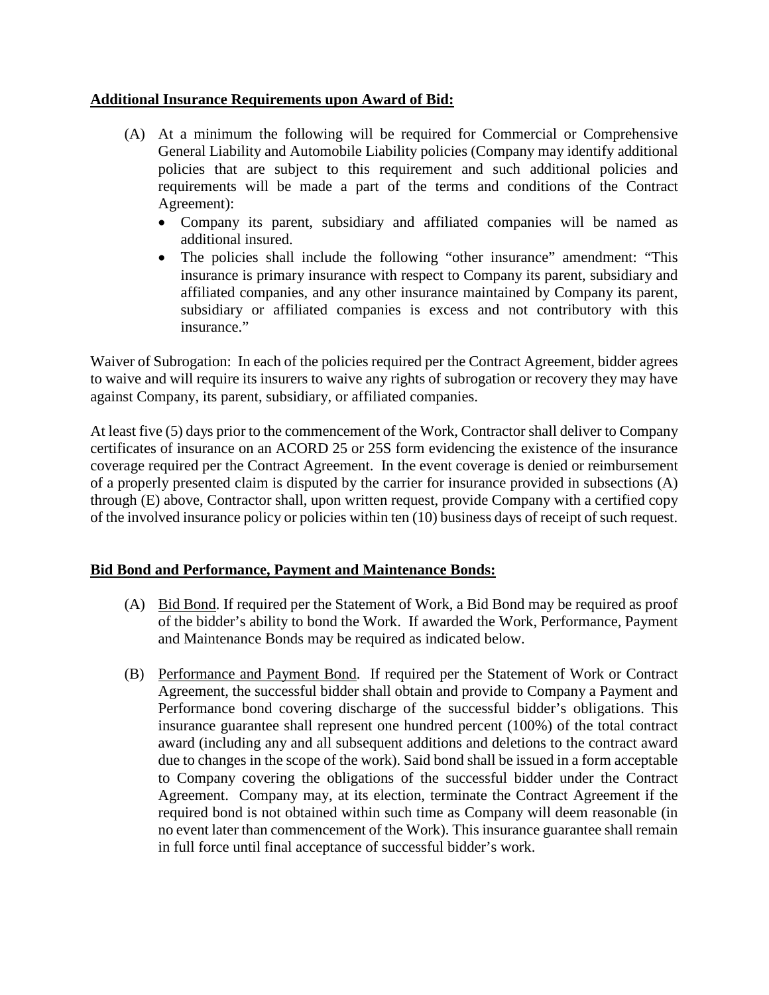# **Additional Insurance Requirements upon Award of Bid:**

- (A) At a minimum the following will be required for Commercial or Comprehensive General Liability and Automobile Liability policies (Company may identify additional policies that are subject to this requirement and such additional policies and requirements will be made a part of the terms and conditions of the Contract Agreement):
	- Company its parent, subsidiary and affiliated companies will be named as additional insured.
	- The policies shall include the following "other insurance" amendment: "This insurance is primary insurance with respect to Company its parent, subsidiary and affiliated companies, and any other insurance maintained by Company its parent, subsidiary or affiliated companies is excess and not contributory with this insurance."

Waiver of Subrogation: In each of the policies required per the Contract Agreement, bidder agrees to waive and will require its insurers to waive any rights of subrogation or recovery they may have against Company, its parent, subsidiary, or affiliated companies.

At least five (5) days prior to the commencement of the Work, Contractor shall deliver to Company certificates of insurance on an ACORD 25 or 25S form evidencing the existence of the insurance coverage required per the Contract Agreement. In the event coverage is denied or reimbursement of a properly presented claim is disputed by the carrier for insurance provided in subsections (A) through (E) above, Contractor shall, upon written request, provide Company with a certified copy of the involved insurance policy or policies within ten (10) business days of receipt of such request.

# **Bid Bond and Performance, Payment and Maintenance Bonds:**

- (A) Bid Bond. If required per the Statement of Work, a Bid Bond may be required as proof of the bidder's ability to bond the Work. If awarded the Work, Performance, Payment and Maintenance Bonds may be required as indicated below.
- (B) Performance and Payment Bond. If required per the Statement of Work or Contract Agreement, the successful bidder shall obtain and provide to Company a Payment and Performance bond covering discharge of the successful bidder's obligations. This insurance guarantee shall represent one hundred percent (100%) of the total contract award (including any and all subsequent additions and deletions to the contract award due to changes in the scope of the work). Said bond shall be issued in a form acceptable to Company covering the obligations of the successful bidder under the Contract Agreement. Company may, at its election, terminate the Contract Agreement if the required bond is not obtained within such time as Company will deem reasonable (in no event later than commencement of the Work). This insurance guarantee shall remain in full force until final acceptance of successful bidder's work.